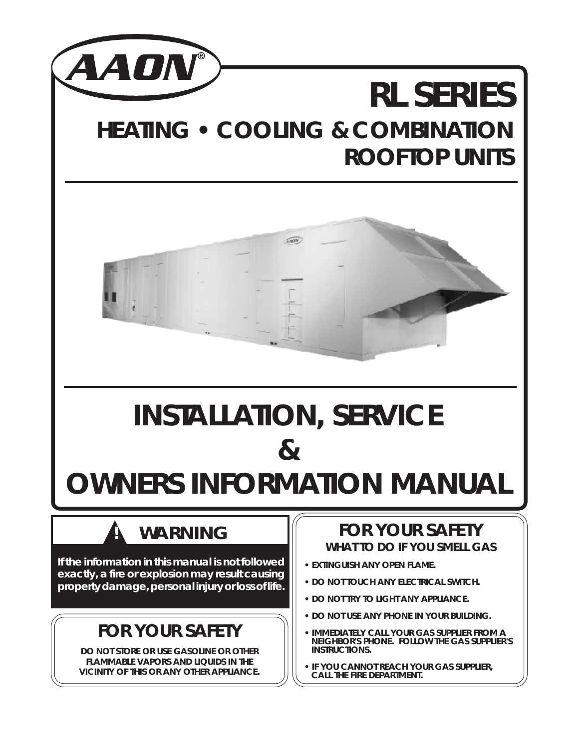

# **RL SERIES HEATING • COOLING & COMBINATION ROOFTOP UNITS**



# **INSTALLATION, SERVICE &**

# **OWNERS INFORMATION MANUAL**

## **WARNING**

**If the information in this manual is not followed exactly, a fire or explosion may result causing property damage, personal injury or loss of life.**

## **FOR YOUR SAFETY**

**DO NOT STORE OR USE GASOLINE OR OTHER FLAMMABLE VAPORS AND LIQUIDS IN THE VICINITY OF THIS OR ANY OTHER APPLIANCE.**

## **FOR YOUR SAFETY WHAT TO DO IF YOU SMELL GAS**

- **EXTINGUISH ANY OPEN FLAME.**
- **DO NOT TOUCH ANY ELECTRICAL SWITCH.**
- **DO NOT TRY TO LIGHT ANY APPLIANCE.**
- **DO NOT USE ANY PHONE IN YOUR BUILDING.**
- **IMMEDIATELY CALL YOUR GAS SUPPLIER FROM A NEIGHBOR'S PHONE. FOLLOW THE GAS SUPPLIER'S INSTRUCTIONS.**
- **IF YOU CANNOT REACH YOUR GAS SUPPLIER, CALL THE FIRE DEPARTMENT.**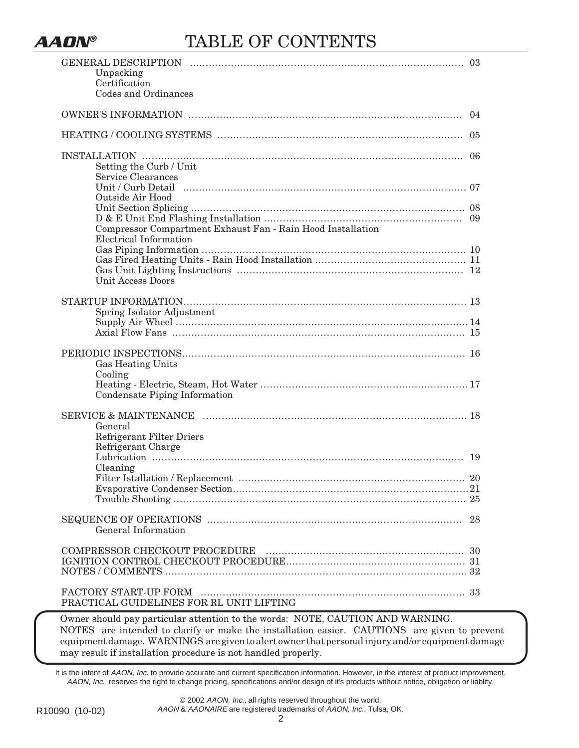

## **AAON®** TABLE OF CONTENTS

| Unpacking<br>Certification<br>Codes and Ordinances                             | 03  |
|--------------------------------------------------------------------------------|-----|
|                                                                                | 04  |
|                                                                                |     |
| Setting the Curb / Unit<br>Service Clearances                                  | -06 |
| Outside Air Hood                                                               |     |
| Compressor Compartment Exhaust Fan - Rain Hood Installation                    |     |
| Electrical Information<br>Unit Access Doors                                    |     |
| Spring Isolator Adjustment                                                     |     |
| Gas Heating Units<br>Cooling                                                   |     |
| Condensate Piping Information                                                  |     |
| General<br><b>Refrigerant Filter Driers</b><br>Refrigerant Charge              |     |
| Cleaning                                                                       | 19  |
|                                                                                | 20  |
| General Information                                                            | 28  |
|                                                                                |     |
| PRACTICAL GUIDELINES FOR RL UNIT LIFTING                                       |     |
| Owner should pay particular attention to the words: NOTE, CAUTION AND WARNING. |     |

NOTES are intended to clarify or make the installation easier. CAUTIONS are given to prevent equipment damage. WARNINGS are given to alert owner that personal injury and/or equipment damage may result if installation procedure is not handled properly.

It is the intent of AAON, Inc. to provide accurate and current specification information. However, in the interest of product improvement, AAON, Inc. reserves the right to change pricing, specifications and/or design of it's products without notice, obligation or liablity.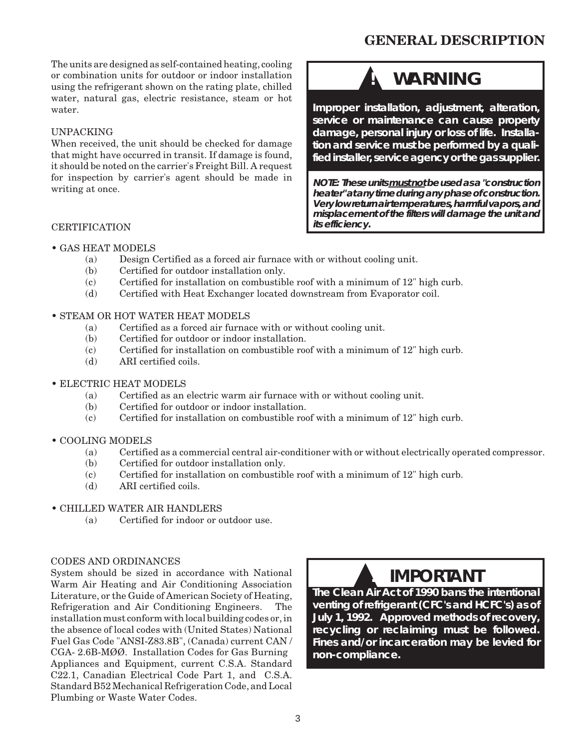### **GENERAL DESCRIPTION**

The units are designed as self-contained heating, cooling or combination units for outdoor or indoor installation using the refrigerant shown on the rating plate, chilled water, natural gas, electric resistance, steam or hot water.

#### UNPACKING

When received, the unit should be checked for damage that might have occurred in transit. If damage is found, it should be noted on the carrier's Freight Bill. A request for inspection by carrier's agent should be made in writing at once.

## **WARNING**

**Improper installation, adjustment, alteration, service or maintenance can cause property damage, personal injury or loss of life. Installation and service must be performed by a qualified installer, service agency or the gas supplier.**

**NOTE: These units must not be used as a "construction heater" at any time during any phase of construction. Very low return air temperatures, harmful vapors, and misplacement of the filters will damage the unit and its efficiency.**

#### **CERTIFICATION**

- GAS HEAT MODELS
	- (a) Design Certified as a forced air furnace with or without cooling unit.
	- (b) Certified for outdoor installation only.
	- (c) Certified for installation on combustible roof with a minimum of 12" high curb.
	- (d) Certified with Heat Exchanger located downstream from Evaporator coil.

#### • STEAM OR HOT WATER HEAT MODELS

- (a) Certified as a forced air furnace with or without cooling unit.
- (b) Certified for outdoor or indoor installation.
- (c) Certified for installation on combustible roof with a minimum of 12" high curb.
- (d) ARI certified coils.
- ELECTRIC HEAT MODELS
	- (a) Certified as an electric warm air furnace with or without cooling unit.
	- (b) Certified for outdoor or indoor installation.
	- (c) Certified for installation on combustible roof with a minimum of 12" high curb.
- COOLING MODELS
	- (a) Certified as a commercial central air-conditioner with or without electrically operated compressor.
	- (b) Certified for outdoor installation only.
	- (c) Certified for installation on combustible roof with a minimum of 12" high curb.
	- (d) ARI certified coils.

#### • CHILLED WATER AIR HANDLERS

(a) Certified for indoor or outdoor use.

#### CODES AND ORDINANCES

System should be sized in accordance with National Warm Air Heating and Air Conditioning Association Literature, or the Guide of American Society of Heating, Refrigeration and Air Conditioning Engineers. The installation must conform with local building codes or, in the absence of local codes with (United States) National Fuel Gas Code "ANSI-Z83.8B", (Canada) current CAN / CGA- 2.6B-MØØ. Installation Codes for Gas Burning Appliances and Equipment, current C.S.A. Standard C22.1, Canadian Electrical Code Part 1, and C.S.A. Standard B52 Mechanical Refrigeration Code, and Local Plumbing or Waste Water Codes.

## ▲**! IMPORTANT**

**The Clean Air Act of 1990 bans the intentional venting of refrigerant (CFC's and HCFC's) as of July 1, 1992. Approved methods of recovery, recycling or reclaiming must be followed. Fines and/or incarceration may be levied for non-compliance.**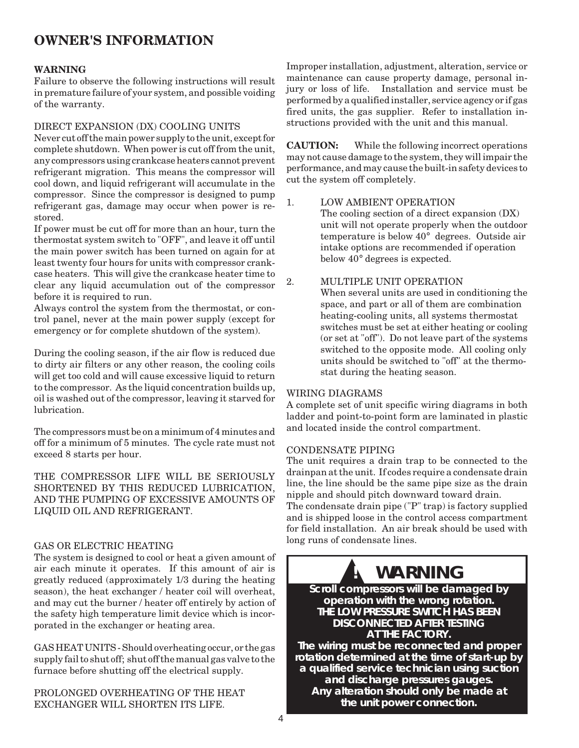### **OWNER'S INFORMATION**

#### **WARNING**

Failure to observe the following instructions will result in premature failure of your system, and possible voiding of the warranty.

#### DIRECT EXPANSION (DX) COOLING UNITS

Never cut off the main power supply to the unit, except for complete shutdown. When power is cut off from the unit, any compressors using crankcase heaters cannot prevent refrigerant migration. This means the compressor will cool down, and liquid refrigerant will accumulate in the compressor. Since the compressor is designed to pump refrigerant gas, damage may occur when power is restored.

If power must be cut off for more than an hour, turn the thermostat system switch to "OFF", and leave it off until the main power switch has been turned on again for at least twenty four hours for units with compressor crankcase heaters. This will give the crankcase heater time to clear any liquid accumulation out of the compressor before it is required to run.

Always control the system from the thermostat, or control panel, never at the main power supply (except for emergency or for complete shutdown of the system).

During the cooling season, if the air flow is reduced due to dirty air filters or any other reason, the cooling coils will get too cold and will cause excessive liquid to return to the compressor. As the liquid concentration builds up, oil is washed out of the compressor, leaving it starved for lubrication.

The compressors must be on a minimum of 4 minutes and off for a minimum of 5 minutes. The cycle rate must not exceed 8 starts per hour.

THE COMPRESSOR LIFE WILL BE SERIOUSLY SHORTENED BY THIS REDUCED LUBRICATION, AND THE PUMPING OF EXCESSIVE AMOUNTS OF LIQUID OIL AND REFRIGERANT.

#### GAS OR ELECTRIC HEATING

The system is designed to cool or heat a given amount of air each minute it operates. If this amount of air is greatly reduced (approximately 1/3 during the heating season), the heat exchanger / heater coil will overheat, and may cut the burner / heater off entirely by action of the safety high temperature limit device which is incorporated in the exchanger or heating area.

GAS HEAT UNITS - Should overheating occur, or the gas supply fail to shut off; shut off the manual gas valve to the furnace before shutting off the electrical supply.

PROLONGED OVERHEATING OF THE HEAT EXCHANGER WILL SHORTEN ITS LIFE.

Improper installation, adjustment, alteration, service or maintenance can cause property damage, personal injury or loss of life. Installation and service must be performed by a qualified installer, service agency or if gas fired units, the gas supplier. Refer to installation instructions provided with the unit and this manual.

**CAUTION:** While the following incorrect operations may not cause damage to the system, they will impair the performance, and may cause the built-in safety devices to cut the system off completely.

#### 1. LOW AMBIENT OPERATION

The cooling section of a direct expansion (DX) unit will not operate properly when the outdoor temperature is below 40° degrees. Outside air intake options are recommended if operation below 40° degrees is expected.

#### 2. MULTIPLE UNIT OPERATION

When several units are used in conditioning the space, and part or all of them are combination heating-cooling units, all systems thermostat switches must be set at either heating or cooling (or set at "off"). Do not leave part of the systems switched to the opposite mode. All cooling only units should be switched to "off" at the thermostat during the heating season.

#### WIRING DIAGRAMS

A complete set of unit specific wiring diagrams in both ladder and point-to-point form are laminated in plastic and located inside the control compartment.

#### CONDENSATE PIPING

The unit requires a drain trap to be connected to the drainpan at the unit. If codes require a condensate drain line, the line should be the same pipe size as the drain nipple and should pitch downward toward drain.

The condensate drain pipe ("P" trap) is factory supplied and is shipped loose in the control access compartment for field installation. An air break should be used with long runs of condensate lines.

## **WARNING**

**Scroll compressors will be damaged by operation with the wrong rotation. THE LOW PRESSURE SWITCH HAS BEEN DISCONNECTED AFTER TESTING AT THE FACTORY.**

**The wiring must be reconnected and proper rotation determined at the time of start-up by a qualified service technician using suction and discharge pressures gauges. Any alteration should only be made at the unit power connection.**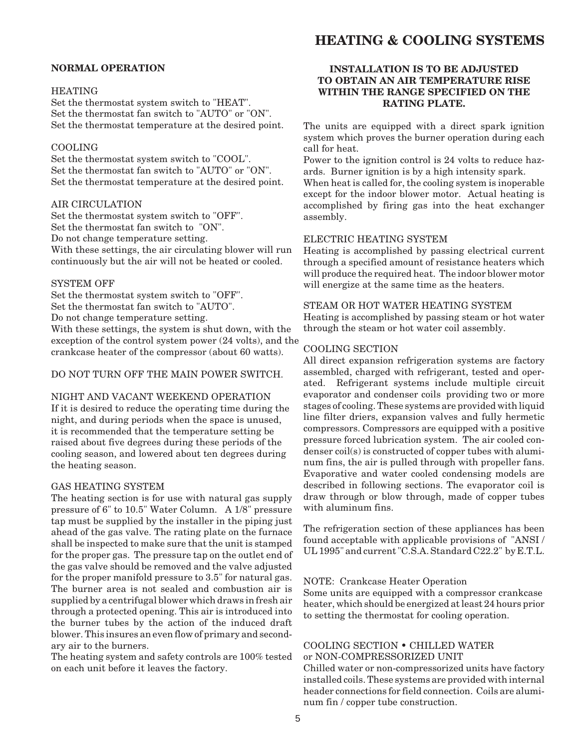### **HEATING & COOLING SYSTEMS**

#### **NORMAL OPERATION**

#### HEATING

Set the thermostat system switch to "HEAT". Set the thermostat fan switch to "AUTO" or "ON". Set the thermostat temperature at the desired point.

#### COOLING

Set the thermostat system switch to "COOL". Set the thermostat fan switch to "AUTO" or "ON". Set the thermostat temperature at the desired point.

#### AIR CIRCULATION

Set the thermostat system switch to "OFF". Set the thermostat fan switch to "ON". Do not change temperature setting. With these settings, the air circulating blower will run continuously but the air will not be heated or cooled.

#### SYSTEM OFF

Set the thermostat system switch to "OFF". Set the thermostat fan switch to "AUTO". Do not change temperature setting. With these settings, the system is shut down, with the exception of the control system power (24 volts), and the crankcase heater of the compressor (about 60 watts).

#### DO NOT TURN OFF THE MAIN POWER SWITCH.

#### NIGHT AND VACANT WEEKEND OPERATION

If it is desired to reduce the operating time during the night, and during periods when the space is unused, it is recommended that the temperature setting be raised about five degrees during these periods of the cooling season, and lowered about ten degrees during the heating season.

#### GAS HEATING SYSTEM

The heating section is for use with natural gas supply pressure of 6" to 10.5" Water Column. A 1/8" pressure tap must be supplied by the installer in the piping just ahead of the gas valve. The rating plate on the furnace shall be inspected to make sure that the unit is stamped for the proper gas. The pressure tap on the outlet end of the gas valve should be removed and the valve adjusted for the proper manifold pressure to 3.5" for natural gas. The burner area is not sealed and combustion air is supplied by a centrifugal blower which draws in fresh air through a protected opening. This air is introduced into the burner tubes by the action of the induced draft blower. This insures an even flow of primary and secondary air to the burners.

The heating system and safety controls are 100% tested on each unit before it leaves the factory.

#### **INSTALLATION IS TO BE ADJUSTED TO OBTAIN AN AIR TEMPERATURE RISE WITHIN THE RANGE SPECIFIED ON THE RATING PLATE.**

The units are equipped with a direct spark ignition system which proves the burner operation during each call for heat.

Power to the ignition control is 24 volts to reduce hazards. Burner ignition is by a high intensity spark.

When heat is called for, the cooling system is inoperable except for the indoor blower motor. Actual heating is accomplished by firing gas into the heat exchanger assembly.

#### ELECTRIC HEATING SYSTEM

Heating is accomplished by passing electrical current through a specified amount of resistance heaters which will produce the required heat. The indoor blower motor will energize at the same time as the heaters.

#### STEAM OR HOT WATER HEATING SYSTEM

Heating is accomplished by passing steam or hot water through the steam or hot water coil assembly.

#### COOLING SECTION

All direct expansion refrigeration systems are factory assembled, charged with refrigerant, tested and operated. Refrigerant systems include multiple circuit evaporator and condenser coils providing two or more stages of cooling. These systems are provided with liquid line filter driers, expansion valves and fully hermetic compressors. Compressors are equipped with a positive pressure forced lubrication system. The air cooled condenser coil(s) is constructed of copper tubes with aluminum fins, the air is pulled through with propeller fans. Evaporative and water cooled condensing models are described in following sections. The evaporator coil is draw through or blow through, made of copper tubes with aluminum fins.

The refrigeration section of these appliances has been found acceptable with applicable provisions of "ANSI / UL 1995" and current "C.S.A. Standard C22.2" by E.T.L.

#### NOTE: Crankcase Heater Operation

Some units are equipped with a compressor crankcase heater, which should be energized at least 24 hours prior to setting the thermostat for cooling operation.

#### COOLING SECTION • CHILLED WATER or NON-COMPRESSORIZED UNIT

Chilled water or non-compressorized units have factory installed coils. These systems are provided with internal header connections for field connection. Coils are aluminum fin / copper tube construction.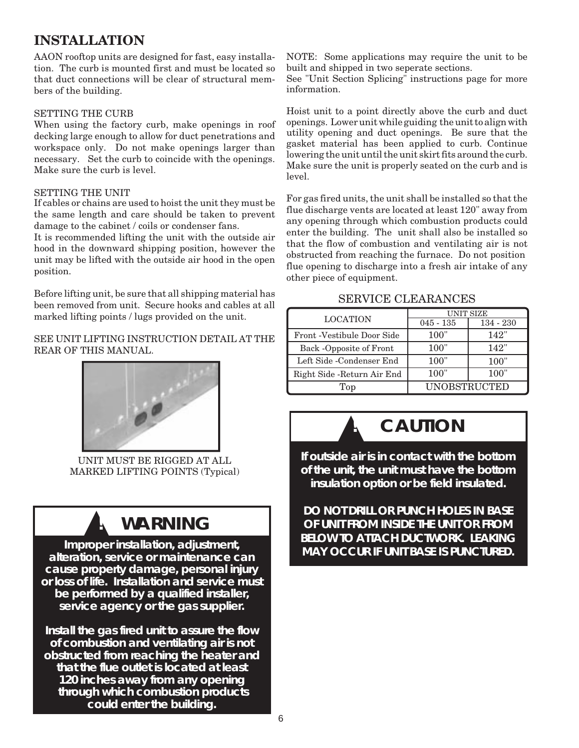### **INSTALLATION**

AAON rooftop units are designed for fast, easy installation. The curb is mounted first and must be located so that duct connections will be clear of structural members of the building.

#### SETTING THE CURB

When using the factory curb, make openings in roof decking large enough to allow for duct penetrations and workspace only. Do not make openings larger than necessary. Set the curb to coincide with the openings. Make sure the curb is level.

#### SETTING THE UNIT

If cables or chains are used to hoist the unit they must be the same length and care should be taken to prevent damage to the cabinet / coils or condenser fans.

It is recommended lifting the unit with the outside air hood in the downward shipping position, however the unit may be lifted with the outside air hood in the open position.

Before lifting unit, be sure that all shipping material has been removed from unit. Secure hooks and cables at all marked lifting points / lugs provided on the unit.

#### SEE UNIT LIFTING INSTRUCTION DETAIL AT THE REAR OF THIS MANUAL.



UNIT MUST BE RIGGED AT ALL MARKED LIFTING POINTS (Typical)

## **WARNING**

**Improper installation, adjustment, alteration, service or maintenance can cause property damage, personal injury or loss of life. Installation and service must be performed by a qualified installer, service agency or the gas supplier.**

**Install the gas fired unit to assure the flow of combustion and ventilating air is not obstructed from reaching the heater and that the flue outlet is located at least 120 inches away from any opening through which combustion products could enter the building.**

NOTE: Some applications may require the unit to be built and shipped in two seperate sections.

See "Unit Section Splicing" instructions page for more information.

Hoist unit to a point directly above the curb and duct openings. Lower unit while guiding the unit to align with utility opening and duct openings. Be sure that the gasket material has been applied to curb. Continue lowering the unit until the unit skirt fits around the curb. Make sure the unit is properly seated on the curb and is level.

For gas fired units, the unit shall be installed so that the flue discharge vents are located at least 120" away from any opening through which combustion products could enter the building. The unit shall also be installed so that the flow of combustion and ventilating air is not obstructed from reaching the furnace. Do not position flue opening to discharge into a fresh air intake of any other piece of equipment.

#### SERVICE CLEARANCES

|                                   | UNIT SIZE           |             |  |  |  |
|-----------------------------------|---------------------|-------------|--|--|--|
| <b>LOCATION</b>                   | $045 - 135$         | $134 - 230$ |  |  |  |
| <b>Front</b> -Vestibule Door Side | <b>100</b> "        | 142"        |  |  |  |
| Back -Opposite of Front           | <b>100</b> "        | 142"        |  |  |  |
| Left Side -Condenser End          | 100"                | 100"        |  |  |  |
| Right Side - Return Air End       | 100"                | 100"        |  |  |  |
| Top.                              | <b>UNOBSTRUCTED</b> |             |  |  |  |

## $CAUTION$

**If outside air is in contact with the bottom of the unit, the unit must have the bottom insulation option or be field insulated.**

**DO NOT DRILL OR PUNCH HOLES IN BASE OF UNIT FROM INSIDE THE UNIT OR FROM BELOW TO ATTACH DUCTWORK. LEAKING MAY OCCUR IF UNIT BASE IS PUNCTURED.**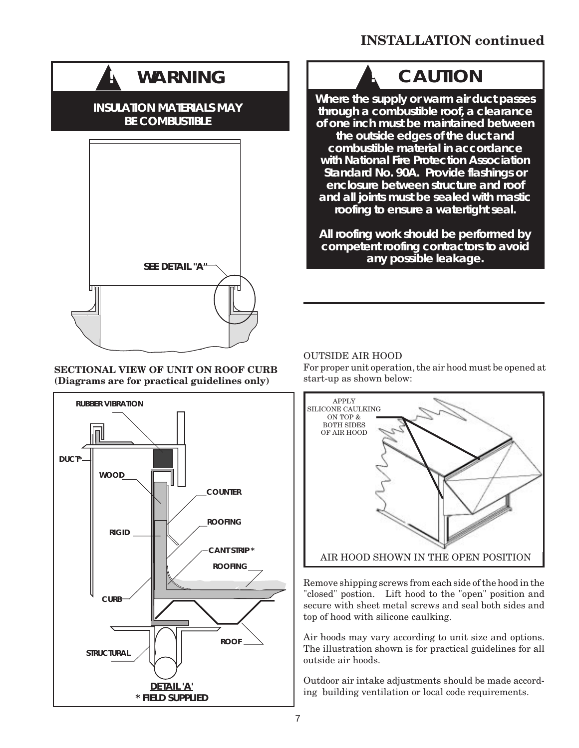### **INSTALLATION continued**

## **WARNING**

#### **INSULATION MATERIALS MAY BE COMBUSTIBLE**



#### **SECTIONAL VIEW OF UNIT ON ROOF CURB (Diagrams are for practical guidelines only)**



## $CAUTION$

**Where the supply or warm air duct passes through a combustible roof, a clearance of one inch must be maintained between the outside edges of the duct and combustible material in accordance with National Fire Protection Association Standard No. 90A. Provide flashings or enclosure between structure and roof and all joints must be sealed with mastic roofing to ensure a watertight seal.**

**All roofing work should be performed by competent roofing contractors to avoid any possible leakage.**

#### OUTSIDE AIR HOOD

For proper unit operation, the air hood must be opened at start-up as shown below:



Remove shipping screws from each side of the hood in the "closed" postion. Lift hood to the "open" position and secure with sheet metal screws and seal both sides and top of hood with silicone caulking.

Air hoods may vary according to unit size and options. The illustration shown is for practical guidelines for all outside air hoods.

Outdoor air intake adjustments should be made according building ventilation or local code requirements.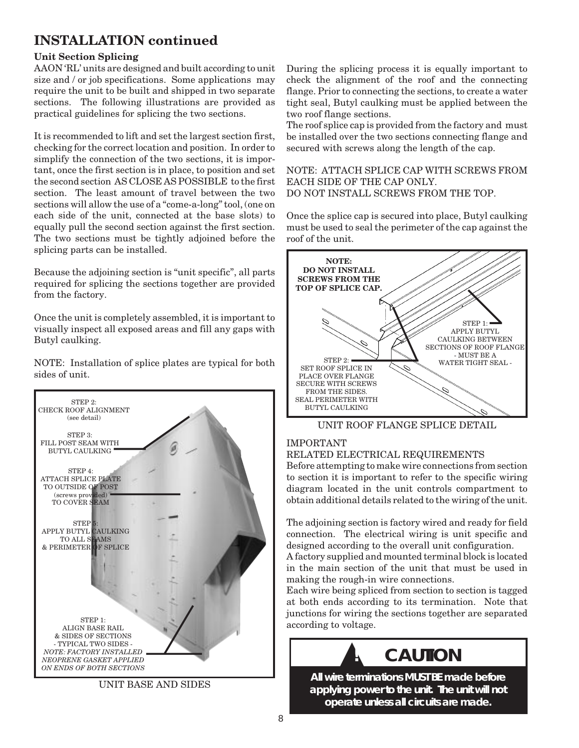## **INSTALLATION continued**

#### **Unit Section Splicing**

AAON 'RL' units are designed and built according to unit size and / or job specifications. Some applications may require the unit to be built and shipped in two separate sections. The following illustrations are provided as practical guidelines for splicing the two sections.

It is recommended to lift and set the largest section first, checking for the correct location and position. In order to simplify the connection of the two sections, it is important, once the first section is in place, to position and set the second section AS CLOSE AS POSSIBLE to the first section. The least amount of travel between the two sections will allow the use of a "come-a-long" tool, (one on each side of the unit, connected at the base slots) to equally pull the second section against the first section. The two sections must be tightly adjoined before the splicing parts can be installed.

Because the adjoining section is "unit specific", all parts required for splicing the sections together are provided from the factory.

Once the unit is completely assembled, it is important to visually inspect all exposed areas and fill any gaps with Butyl caulking.

NOTE: Installation of splice plates are typical for both sides of unit.



UNIT BASE AND SIDES

During the splicing process it is equally important to check the alignment of the roof and the connecting flange. Prior to connecting the sections, to create a water tight seal, Butyl caulking must be applied between the two roof flange sections.

The roof splice cap is provided from the factory and must be installed over the two sections connecting flange and secured with screws along the length of the cap.

NOTE: ATTACH SPLICE CAP WITH SCREWS FROM EACH SIDE OF THE CAP ONLY. DO NOT INSTALL SCREWS FROM THE TOP.

Once the splice cap is secured into place, Butyl caulking must be used to seal the perimeter of the cap against the roof of the unit.



UNIT ROOF FLANGE SPLICE DETAIL

#### IMPORTANT

RELATED ELECTRICAL REQUIREMENTS

Before attempting to make wire connections from section to section it is important to refer to the specific wiring diagram located in the unit controls compartment to obtain additional details related to the wiring of the unit.

The adjoining section is factory wired and ready for field connection. The electrical wiring is unit specific and designed according to the overall unit configuration.

A factory supplied and mounted terminal block is located in the main section of the unit that must be used in making the rough-in wire connections.

Each wire being spliced from section to section is tagged at both ends according to its termination. Note that junctions for wiring the sections together are separated according to voltage.

## **! CAUTION**

**All wire terminations MUST BE made before applying power to the unit. The unit will not operate unless all circuits are made.**

▲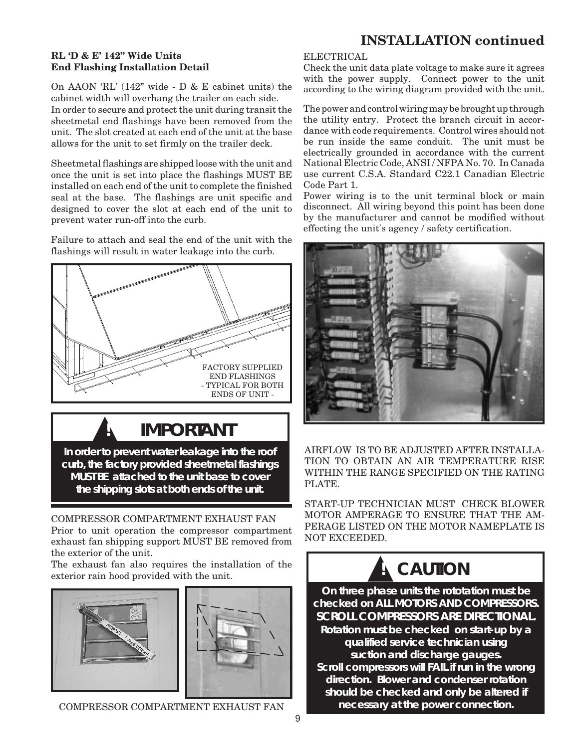#### **RL 'D & E' 142" Wide Units End Flashing Installation Detail**

On AAON 'RL' (142" wide - D & E cabinet units) the cabinet width will overhang the trailer on each side.

In order to secure and protect the unit during transit the sheetmetal end flashings have been removed from the unit. The slot created at each end of the unit at the base allows for the unit to set firmly on the trailer deck.

Sheetmetal flashings are shipped loose with the unit and once the unit is set into place the flashings MUST BE installed on each end of the unit to complete the finished seal at the base. The flashings are unit specific and designed to cover the slot at each end of the unit to prevent water run-off into the curb.

Failure to attach and seal the end of the unit with the flashings will result in water leakage into the curb.



**! IMPORTANT**

**In order to prevent water leakage into the roof curb, the factory provided sheetmetal flashings MUST BE attached to the unit base to cover the shipping slots at both ends of the unit.**

COMPRESSOR COMPARTMENT EXHAUST FAN Prior to unit operation the compressor compartment exhaust fan shipping support MUST BE removed from the exterior of the unit.

The exhaust fan also requires the installation of the exterior rain hood provided with the unit.



COMPRESSOR COMPARTMENT EXHAUST FAN

### **INSTALLATION continued**

#### ELECTRICAL

Check the unit data plate voltage to make sure it agrees with the power supply. Connect power to the unit according to the wiring diagram provided with the unit.

The power and control wiring may be brought up through the utility entry. Protect the branch circuit in accordance with code requirements. Control wires should not be run inside the same conduit. The unit must be electrically grounded in accordance with the current National Electric Code, ANSI / NFPA No. 70. In Canada use current C.S.A. Standard C22.1 Canadian Electric Code Part 1.

Power wiring is to the unit terminal block or main disconnect. All wiring beyond this point has been done by the manufacturer and cannot be modified without effecting the unit's agency / safety certification.



AIRFLOW IS TO BE ADJUSTED AFTER INSTALLA-TION TO OBTAIN AN AIR TEMPERATURE RISE WITHIN THE RANGE SPECIFIED ON THE RATING PLATE.

START-UP TECHNICIAN MUST CHECK BLOWER MOTOR AMPERAGE TO ENSURE THAT THE AM-PERAGE LISTED ON THE MOTOR NAMEPLATE IS NOT EXCEEDED.

# **A** CAUTION

**On three phase units the rototation must be checked on ALL MOTORS AND COMPRESSORS. SCROLL COMPRESSORS ARE DIRECTIONAL. Rotation must be checked on start-up by a qualified service technician using suction and discharge gauges. Scroll compressors will FAIL if run in the wrong direction. Blower and condenser rotation should be checked and only be altered if necessary at the power connection.**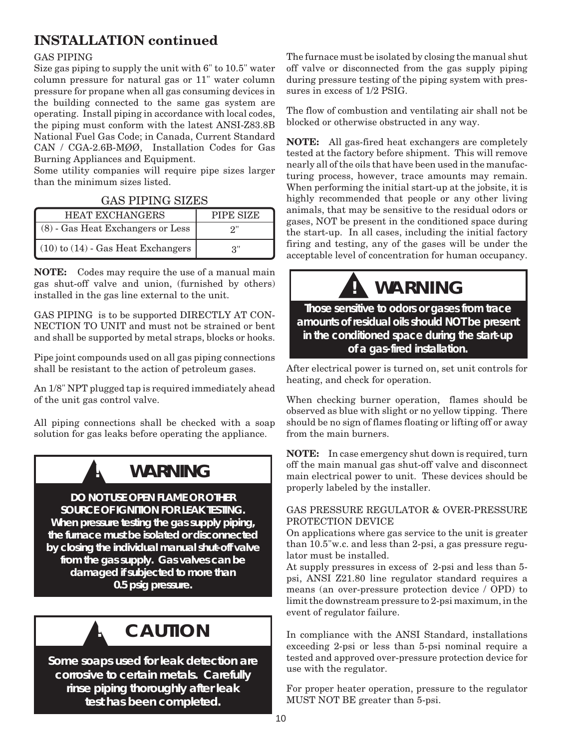## **INSTALLATION continued**

#### GAS PIPING

Size gas piping to supply the unit with 6" to 10.5" water column pressure for natural gas or 11" water column pressure for propane when all gas consuming devices in the building connected to the same gas system are operating. Install piping in accordance with local codes, the piping must conform with the latest ANSI-Z83.8B National Fuel Gas Code; in Canada, Current Standard CAN / CGA-2.6B-MØØ, Installation Codes for Gas Burning Appliances and Equipment.

Some utility companies will require pipe sizes larger than the minimum sizes listed.

#### GAS PIPING SIZES

| <b>HEAT EXCHANGERS</b>                 | PIPE SIZE |
|----------------------------------------|-----------|
| (8) - Gas Heat Exchangers or Less      | 2"        |
| $(10)$ to $(14)$ - Gas Heat Exchangers | 3"        |

**NOTE:** Codes may require the use of a manual main gas shut-off valve and union, (furnished by others) installed in the gas line external to the unit.

GAS PIPING is to be supported DIRECTLY AT CON-NECTION TO UNIT and must not be strained or bent and shall be supported by metal straps, blocks or hooks.

Pipe joint compounds used on all gas piping connections shall be resistant to the action of petroleum gases.

An 1/8" NPT plugged tap is required immediately ahead of the unit gas control valve.

All piping connections shall be checked with a soap solution for gas leaks before operating the appliance.

## **WARNING**

**DO NOT USE OPEN FLAME OR OTHER SOURCE OF IGNITION FOR LEAK TESTING. When pressure testing the gas supply piping, the furnace must be isolated or disconnected by closing the individual manual shut-off valve from the gas supply. Gas valves can be damaged if subjected to more than 0.5 psig pressure.**



**Some soaps used for leak detection are corrosive to certain metals. Carefully rinse piping thoroughly after leak test has been completed.**

The furnace must be isolated by closing the manual shut off valve or disconnected from the gas supply piping during pressure testing of the piping system with pressures in excess of 1/2 PSIG.

The flow of combustion and ventilating air shall not be blocked or otherwise obstructed in any way.

**NOTE:** All gas-fired heat exchangers are completely tested at the factory before shipment. This will remove nearly all of the oils that have been used in the manufacturing process, however, trace amounts may remain. When performing the initial start-up at the jobsite, it is highly recommended that people or any other living animals, that may be sensitive to the residual odors or gases, NOT be present in the conditioned space during the start-up. In all cases, including the initial factory firing and testing, any of the gases will be under the acceptable level of concentration for human occupancy.

## **! WARNING**

#### **Those sensitive to odors or gases from trace amounts of residual oils should NOT be present in the conditioned space during the start-up of a gas-fired installation.**

After electrical power is turned on, set unit controls for heating, and check for operation.

When checking burner operation, flames should be observed as blue with slight or no yellow tipping. There should be no sign of flames floating or lifting off or away from the main burners.

**NOTE:** In case emergency shut down is required, turn off the main manual gas shut-off valve and disconnect main electrical power to unit. These devices should be properly labeled by the installer.

#### GAS PRESSURE REGULATOR & OVER-PRESSURE PROTECTION DEVICE

On applications where gas service to the unit is greater than 10.5"w.c. and less than 2-psi, a gas pressure regulator must be installed.

At supply pressures in excess of 2-psi and less than 5 psi, ANSI Z21.80 line regulator standard requires a means (an over-pressure protection device / OPD) to limit the downstream pressure to 2-psi maximum, in the event of regulator failure.

In compliance with the ANSI Standard, installations exceeding 2-psi or less than 5-psi nominal require a tested and approved over-pressure protection device for use with the regulator.

For proper heater operation, pressure to the regulator MUST NOT BE greater than 5-psi.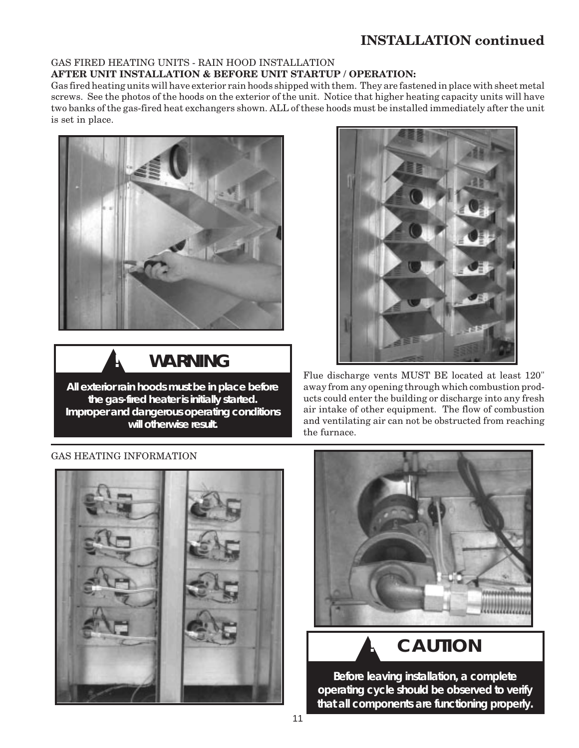### **INSTALLATION continued**

#### GAS FIRED HEATING UNITS - RAIN HOOD INSTALLATION **AFTER UNIT INSTALLATION & BEFORE UNIT STARTUP / OPERATION:**

Gas fired heating units will have exterior rain hoods shipped with them. They are fastened in place with sheet metal screws. See the photos of the hoods on the exterior of the unit. Notice that higher heating capacity units will have two banks of the gas-fired heat exchangers shown. ALL of these hoods must be installed immediately after the unit is set in place.





**All exterior rain hoods must be in place before the gas-fired heater is initially started. Improper and dangerous operating conditions will otherwise result.**



Flue discharge vents MUST BE located at least 120" away from any opening through which combustion products could enter the building or discharge into any fresh air intake of other equipment. The flow of combustion and ventilating air can not be obstructed from reaching the furnace.

#### GAS HEATING INFORMATION





## $CAUTION$

**Before leaving installation, a complete operating cycle should be observed to verify that all components are functioning properly.**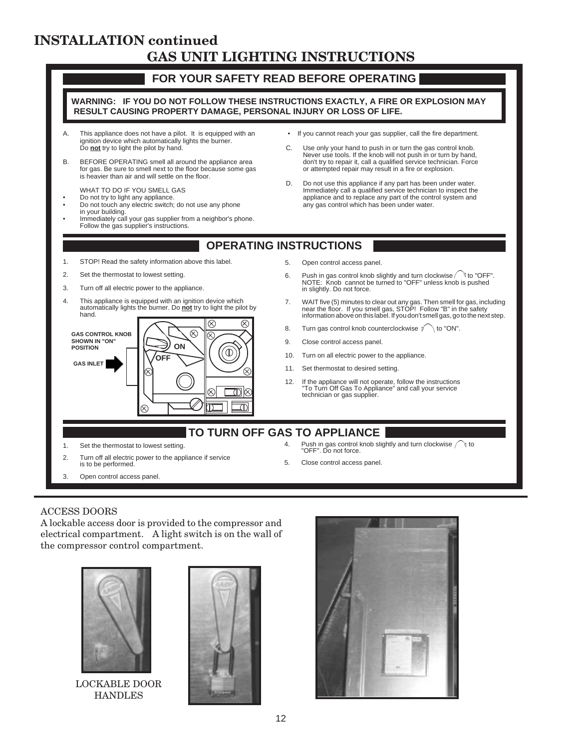### **INSTALLATION continued GAS UNIT LIGHTING INSTRUCTIONS**



#### ACCESS DOORS

A lockable access door is provided to the compressor and electrical compartment. A light switch is on the wall of the compressor control compartment.



LOCKABLE DOOR HANDLES



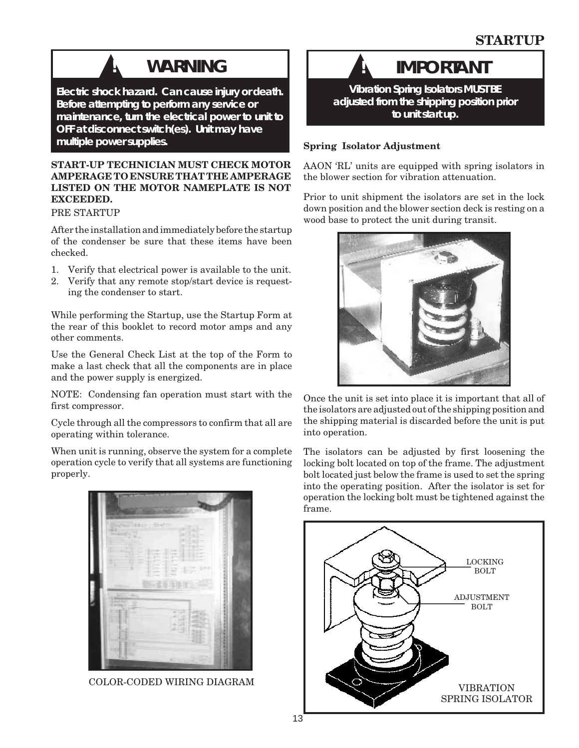## ▲**! WARNING**

**Electric shock hazard. Can cause injury or death. Before attempting to perform any service or maintenance, turn the electrical power to unit to OFF at disconnect switch(es). Unit may have multiple power supplies.**

#### **START-UP TECHNICIAN MUST CHECK MOTOR AMPERAGE TO ENSURE THAT THE AMPERAGE LISTED ON THE MOTOR NAMEPLATE IS NOT EXCEEDED.**

#### PRE STARTUP

After the installation and immediately before the startup of the condenser be sure that these items have been checked.

- 1. Verify that electrical power is available to the unit.
- 2. Verify that any remote stop/start device is requesting the condenser to start.

While performing the Startup, use the Startup Form at the rear of this booklet to record motor amps and any other comments.

Use the General Check List at the top of the Form to make a last check that all the components are in place and the power supply is energized.

NOTE: Condensing fan operation must start with the first compressor.

Cycle through all the compressors to confirm that all are operating within tolerance.

When unit is running, observe the system for a complete operation cycle to verify that all systems are functioning properly.





**Vibration Spring Isolators MUST BE adjusted from the shipping position prior to unit start up.**

#### **Spring Isolator Adjustment**

AAON 'RL' units are equipped with spring isolators in the blower section for vibration attenuation.

Prior to unit shipment the isolators are set in the lock down position and the blower section deck is resting on a wood base to protect the unit during transit.



Once the unit is set into place it is important that all of the isolators are adjusted out of the shipping position and the shipping material is discarded before the unit is put into operation.

The isolators can be adjusted by first loosening the locking bolt located on top of the frame. The adjustment bolt located just below the frame is used to set the spring into the operating position. After the isolator is set for operation the locking bolt must be tightened against the frame.

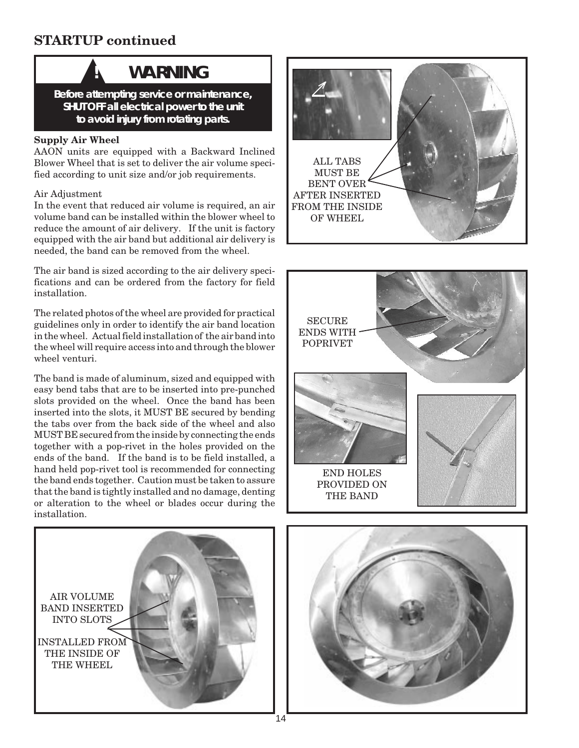## **STARTUP continued**

▲

## **! WARNING**

**Before attempting service or maintenance, SHUT OFF all electrical power to the unit to avoid injury from rotating parts.**

#### **Supply Air Wheel**

AAON units are equipped with a Backward Inclined Blower Wheel that is set to deliver the air volume specified according to unit size and/or job requirements.

#### Air Adjustment

In the event that reduced air volume is required, an air volume band can be installed within the blower wheel to reduce the amount of air delivery. If the unit is factory equipped with the air band but additional air delivery is needed, the band can be removed from the wheel.

The air band is sized according to the air delivery specifications and can be ordered from the factory for field installation.

The related photos of the wheel are provided for practical guidelines only in order to identify the air band location in the wheel. Actual field installation of the air band into the wheel will require access into and through the blower wheel venturi.

The band is made of aluminum, sized and equipped with easy bend tabs that are to be inserted into pre-punched slots provided on the wheel. Once the band has been inserted into the slots, it MUST BE secured by bending the tabs over from the back side of the wheel and also MUST BE secured from the inside by connecting the ends together with a pop-rivet in the holes provided on the ends of the band. If the band is to be field installed, a hand held pop-rivet tool is recommended for connecting the band ends together. Caution must be taken to assure that the band is tightly installed and no damage, denting or alteration to the wheel or blades occur during the installation.







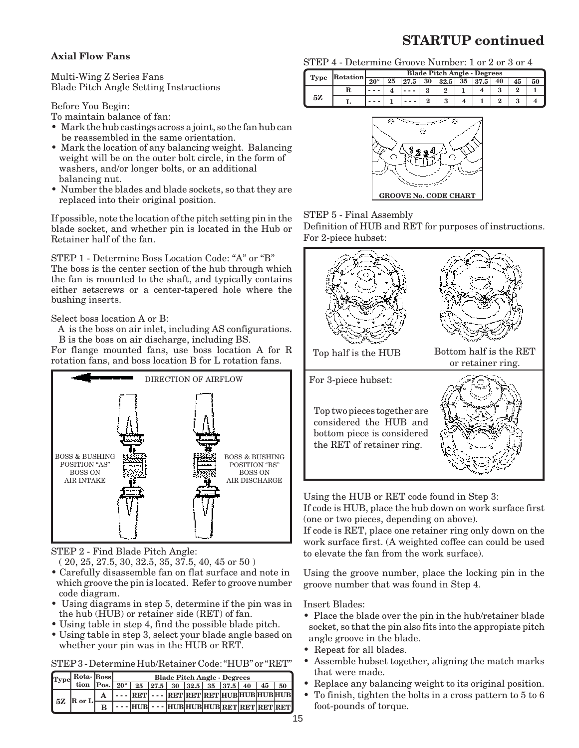### **STARTUP continued**

#### **Axial Flow Fans**

Multi-Wing Z Series Fans Blade Pitch Angle Setting Instructions

Before You Begin:

To maintain balance of fan:

- Mark the hub castings across a joint, so the fan hub can be reassembled in the same orientation.
- Mark the location of any balancing weight. Balancing weight will be on the outer bolt circle, in the form of washers, and/or longer bolts, or an additional balancing nut.
- Number the blades and blade sockets, so that they are replaced into their original position.

If possible, note the location of the pitch setting pin in the blade socket, and whether pin is located in the Hub or Retainer half of the fan.

STEP 1 - Determine Boss Location Code: "A" or "B" The boss is the center section of the hub through which the fan is mounted to the shaft, and typically contains either setscrews or a center-tapered hole where the bushing inserts.

Select boss location A or B:

 A is the boss on air inlet, including AS configurations. B is the boss on air discharge, including BS.

For flange mounted fans, use boss location A for R rotation fans, and boss location B for L rotation fans.



STEP 2 - Find Blade Pitch Angle:

( 20, 25, 27.5, 30, 32.5, 35, 37.5, 40, 45 or 50 )

- Carefully disassemble fan on flat surface and note in which groove the pin is located. Refer to groove number code diagram.
- Using diagrams in step 5, determine if the pin was in the hub (HUB) or retainer side (RET) of fan.
- Using table in step 4, find the possible blade pitch.
- Using table in step 3, select your blade angle based on whether your pin was in the HUB or RET.

STEP 3 - Determine Hub/Retainer Code: "HUB" or "RET"

|                             |        | Type Rota-Boss |  | <b>Blade Pitch Angle - Degrees</b><br>tion Pos. $\boxed{20^\circ$ 25 27.5 30 32.5 35 37.5 40 |  |  |  |  |  |               |  |
|-----------------------------|--------|----------------|--|----------------------------------------------------------------------------------------------|--|--|--|--|--|---------------|--|
|                             |        |                |  |                                                                                              |  |  |  |  |  | $45 \quad 50$ |  |
| $\overline{\phantom{a}}$ 5Z | R or L |                |  | $\cdots$ RET $\cdots$ RET RET RET RET HUBHUBHUBHUB                                           |  |  |  |  |  |               |  |
|                             |        | в              |  | $\cdots$ HUB $\cdots$ HUB HUB HUB RET RET RET RET                                            |  |  |  |  |  |               |  |

|  | STEP 4 - Determine Groove Number: 1 or 2 or 3 or 4 |  |  |  |  |  |  |  |
|--|----------------------------------------------------|--|--|--|--|--|--|--|
|--|----------------------------------------------------|--|--|--|--|--|--|--|

|      | Rotation | <b>Blade Pitch Angle - Degrees</b> |    |      |    |      |    |      |    |    |  |
|------|----------|------------------------------------|----|------|----|------|----|------|----|----|--|
| Type |          | $20^{\circ}$                       | 25 | 27.5 | 30 | 32.5 | 35 | 37.5 | 40 | 45 |  |
| 5Z   |          |                                    |    |      |    |      |    |      |    |    |  |
|      |          |                                    |    |      |    |      |    |      |    |    |  |



#### STEP 5 - Final Assembly

Definition of HUB and RET for purposes of instructions. For 2-piece hubset:



Using the HUB or RET code found in Step 3:

If code is HUB, place the hub down on work surface first (one or two pieces, depending on above).

If code is RET, place one retainer ring only down on the work surface first. (A weighted coffee can could be used to elevate the fan from the work surface).

Using the groove number, place the locking pin in the groove number that was found in Step 4.

Insert Blades:

- Place the blade over the pin in the hub/retainer blade socket, so that the pin also fits into the appropiate pitch angle groove in the blade.
- Repeat for all blades.
- Assemble hubset together, aligning the match marks that were made.
- Replace any balancing weight to its original position.
- To finish, tighten the bolts in a cross pattern to 5 to 6 foot-pounds of torque.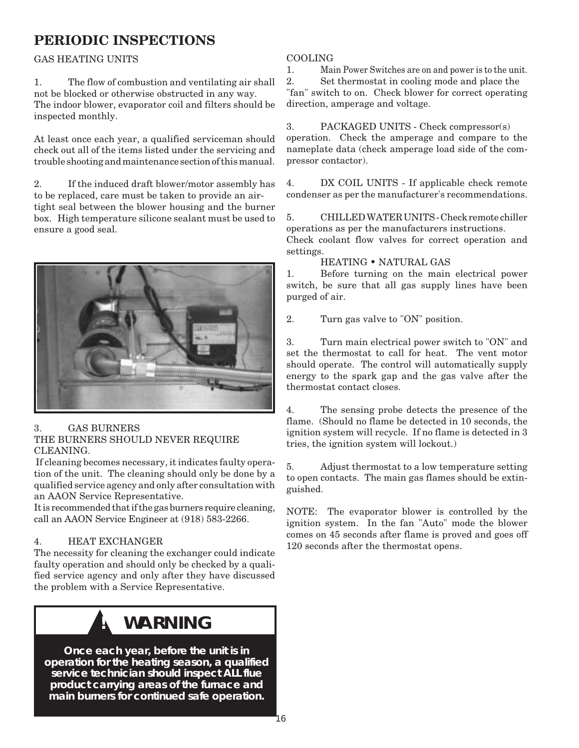### **PERIODIC INSPECTIONS**

#### GAS HEATING UNITS

1. The flow of combustion and ventilating air shall not be blocked or otherwise obstructed in any way. The indoor blower, evaporator coil and filters should be inspected monthly.

At least once each year, a qualified serviceman should check out all of the items listed under the servicing and trouble shooting and maintenance section of this manual.

2. If the induced draft blower/motor assembly has to be replaced, care must be taken to provide an airtight seal between the blower housing and the burner box. High temperature silicone sealant must be used to ensure a good seal.



#### 3. GAS BURNERS

#### THE BURNERS SHOULD NEVER REQUIRE CLEANING.

 If cleaning becomes necessary, it indicates faulty operation of the unit. The cleaning should only be done by a qualified service agency and only after consultation with an AAON Service Representative.

It is recommended that if the gas burners require cleaning, call an AAON Service Engineer at (918) 583-2266.

#### 4. HEAT EXCHANGER

The necessity for cleaning the exchanger could indicate faulty operation and should only be checked by a qualified service agency and only after they have discussed the problem with a Service Representative.

## **WARNING**

**Once each year, before the unit is in operation for the heating season, a qualified service technician should inspect ALL flue product carrying areas of the furnace and main burners for continued safe operation.**

#### COOLING

1. Main Power Switches are on and power is to the unit.

2. Set thermostat in cooling mode and place the "fan" switch to on. Check blower for correct operating direction, amperage and voltage.

3. PACKAGED UNITS - Check compressor(s) operation. Check the amperage and compare to the nameplate data (check amperage load side of the compressor contactor).

4. DX COIL UNITS - If applicable check remote condenser as per the manufacturer's recommendations.

5. CHILLED WATER UNITS - Check remote chiller operations as per the manufacturers instructions.

Check coolant flow valves for correct operation and settings.

#### HEATING • NATURAL GAS

1. Before turning on the main electrical power switch, be sure that all gas supply lines have been purged of air.

2. Turn gas valve to "ON" position.

3. Turn main electrical power switch to "ON" and set the thermostat to call for heat. The vent motor should operate. The control will automatically supply energy to the spark gap and the gas valve after the thermostat contact closes.

4. The sensing probe detects the presence of the flame. (Should no flame be detected in 10 seconds, the ignition system will recycle. If no flame is detected in 3 tries, the ignition system will lockout.)

5. Adjust thermostat to a low temperature setting to open contacts. The main gas flames should be extinguished.

NOTE: The evaporator blower is controlled by the ignition system. In the fan "Auto" mode the blower comes on 45 seconds after flame is proved and goes off 120 seconds after the thermostat opens.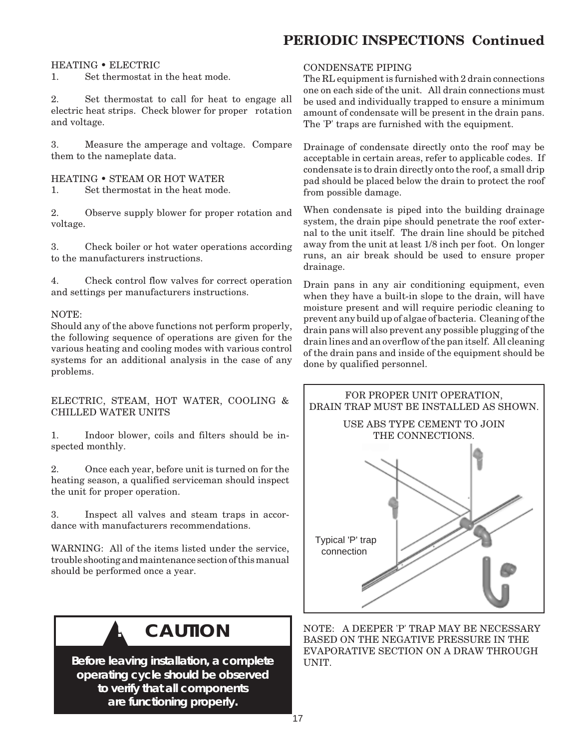## **PERIODIC INSPECTIONS Continued**

#### HEATING • ELECTRIC

1. Set thermostat in the heat mode.

2. Set thermostat to call for heat to engage all electric heat strips. Check blower for proper rotation and voltage.

3. Measure the amperage and voltage. Compare them to the nameplate data.

HEATING • STEAM OR HOT WATER 1. Set thermostat in the heat mode.

2. Observe supply blower for proper rotation and voltage.

3. Check boiler or hot water operations according to the manufacturers instructions.

4. Check control flow valves for correct operation and settings per manufacturers instructions.

#### NOTE:

Should any of the above functions not perform properly, the following sequence of operations are given for the various heating and cooling modes with various control systems for an additional analysis in the case of any problems.

#### ELECTRIC, STEAM, HOT WATER, COOLING & CHILLED WATER UNITS

1. Indoor blower, coils and filters should be inspected monthly.

2. Once each year, before unit is turned on for the heating season, a qualified serviceman should inspect the unit for proper operation.

3. Inspect all valves and steam traps in accordance with manufacturers recommendations.

WARNING: All of the items listed under the service, trouble shooting and maintenance section of this manual should be performed once a year.



**Before leaving installation, a complete operating cycle should be observed to verify that all components are functioning properly.**

#### CONDENSATE PIPING

The RL equipment is furnished with 2 drain connections one on each side of the unit. All drain connections must be used and individually trapped to ensure a minimum amount of condensate will be present in the drain pans. The 'P' traps are furnished with the equipment.

Drainage of condensate directly onto the roof may be acceptable in certain areas, refer to applicable codes. If condensate is to drain directly onto the roof, a small drip pad should be placed below the drain to protect the roof from possible damage.

When condensate is piped into the building drainage system, the drain pipe should penetrate the roof external to the unit itself. The drain line should be pitched away from the unit at least 1/8 inch per foot. On longer runs, an air break should be used to ensure proper drainage.

Drain pans in any air conditioning equipment, even when they have a built-in slope to the drain, will have moisture present and will require periodic cleaning to prevent any build up of algae of bacteria. Cleaning of the drain pans will also prevent any possible plugging of the drain lines and an overflow of the pan itself. All cleaning of the drain pans and inside of the equipment should be done by qualified personnel.



NOTE: A DEEPER 'P' TRAP MAY BE NECESSARY BASED ON THE NEGATIVE PRESSURE IN THE EVAPORATIVE SECTION ON A DRAW THROUGH UNIT.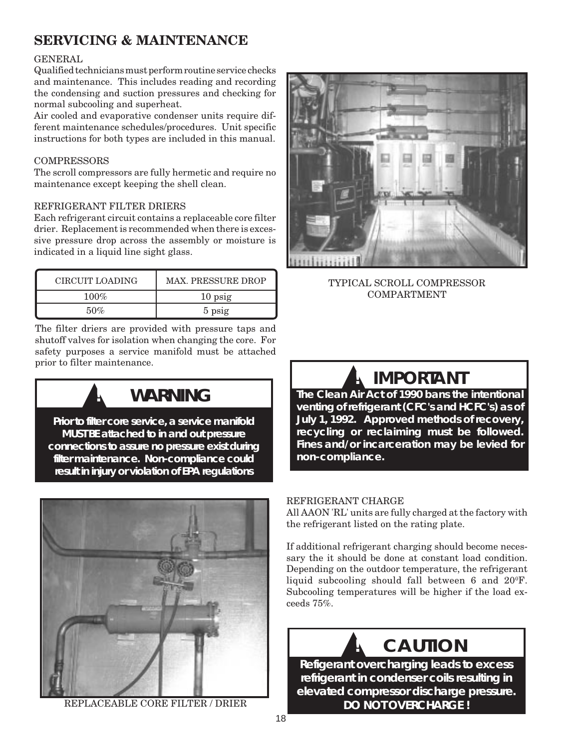## **SERVICING & MAINTENANCE**

#### GENERAL

Qualified technicians must perform routine service checks and maintenance. This includes reading and recording the condensing and suction pressures and checking for normal subcooling and superheat.

Air cooled and evaporative condenser units require different maintenance schedules/procedures. Unit specific instructions for both types are included in this manual.

#### **COMPRESSORS**

The scroll compressors are fully hermetic and require no maintenance except keeping the shell clean.

#### REFRIGERANT FILTER DRIERS

Each refrigerant circuit contains a replaceable core filter drier. Replacement is recommended when there is excessive pressure drop across the assembly or moisture is indicated in a liquid line sight glass.

| CIRCUIT LOADING | <b>MAX. PRESSURE DROP</b> |
|-----------------|---------------------------|
| $100\%$         | $10$ psig                 |
| 50%             | 5 psig                    |

The filter driers are provided with pressure taps and shutoff valves for isolation when changing the core. For safety purposes a service manifold must be attached prior to filter maintenance.



**Prior to filter core service, a service manifold MUST BE attached to in and out pressure connections to assure no pressure exist during filter maintenance. Non-compliance could result in injury or violation of EPA regulations**



REPLACEABLE CORE FILTER / DRIER



TYPICAL SCROLL COMPRESSOR COMPARTMENT



**The Clean Air Act of 1990 bans the intentional venting of refrigerant (CFC's and HCFC's) as of July 1, 1992. Approved methods of recovery, recycling or reclaiming must be followed. Fines and/or incarceration may be levied for non-compliance.**

#### REFRIGERANT CHARGE

All AAON 'RL' units are fully charged at the factory with the refrigerant listed on the rating plate.

If additional refrigerant charging should become necessary the it should be done at constant load condition. Depending on the outdoor temperature, the refrigerant liquid subcooling should fall between  $6$  and  $20^{\circ}$ F. Subcooling temperatures will be higher if the load exceeds 75%.

### ▲ **! CAUTION**

**Refigerant overcharging leads to excess refrigerant in condenser coils resulting in elevated compressor discharge pressure. DO NOT OVERCHARGE !**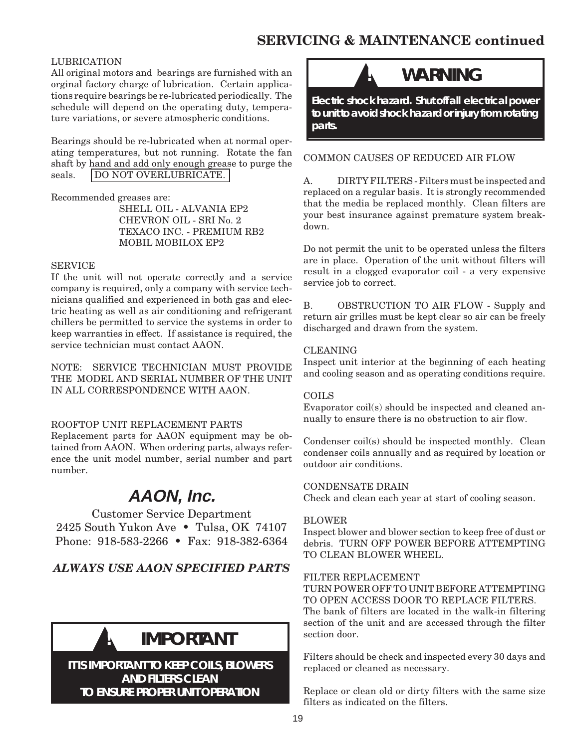### **SERVICING & MAINTENANCE continued**

#### LUBRICATION

All original motors and bearings are furnished with an orginal factory charge of lubrication. Certain applications require bearings be re-lubricated periodically. The schedule will depend on the operating duty, temperature variations, or severe atmospheric conditions.

Bearings should be re-lubricated when at normal operating temperatures, but not running. Rotate the fan shaft by hand and add only enough grease to purge the seals. **DO NOT OVERLUBRICATE.** 

Recommended greases are:

SHELL OIL - ALVANIA EP2 CHEVRON OIL - SRI No. 2 TEXACO INC. - PREMIUM RB2 MOBIL MOBILOX EP2

#### SERVICE

If the unit will not operate correctly and a service company is required, only a company with service technicians qualified and experienced in both gas and electric heating as well as air conditioning and refrigerant chillers be permitted to service the systems in order to keep warranties in effect. If assistance is required, the service technician must contact AAON.

NOTE: SERVICE TECHNICIAN MUST PROVIDE THE MODEL AND SERIAL NUMBER OF THE UNIT IN ALL CORRESPONDENCE WITH AAON.

#### ROOFTOP UNIT REPLACEMENT PARTS

Replacement parts for AAON equipment may be obtained from AAON. When ordering parts, always reference the unit model number, serial number and part number.

## **AAON, Inc.**

Customer Service Department 2425 South Yukon Ave • Tulsa, OK 74107 Phone: 918-583-2266 • Fax: 918-382-6364

*ALWAYS USE AAON SPECIFIED PARTS*

## ▲**! IMPORTANT**

**IT IS IMPORTANT TO KEEP COILS, BLOWERS AND FILTERS CLEAN TO ENSURE PROPER UNIT OPERATION**

## **WARNING**

**Electric shock hazard. Shut off all electrical power to unit to avoid shock hazard or injury from rotating parts.**

COMMON CAUSES OF REDUCED AIR FLOW

A. DIRTY FILTERS - Filters must be inspected and replaced on a regular basis. It is strongly recommended that the media be replaced monthly. Clean filters are your best insurance against premature system breakdown.

Do not permit the unit to be operated unless the filters are in place. Operation of the unit without filters will result in a clogged evaporator coil - a very expensive service job to correct.

B. OBSTRUCTION TO AIR FLOW - Supply and return air grilles must be kept clear so air can be freely discharged and drawn from the system.

#### CLEANING

Inspect unit interior at the beginning of each heating and cooling season and as operating conditions require.

#### COILS

Evaporator coil(s) should be inspected and cleaned annually to ensure there is no obstruction to air flow.

Condenser coil(s) should be inspected monthly. Clean condenser coils annually and as required by location or outdoor air conditions.

#### CONDENSATE DRAIN

Check and clean each year at start of cooling season.

#### BLOWER

Inspect blower and blower section to keep free of dust or debris. TURN OFF POWER BEFORE ATTEMPTING TO CLEAN BLOWER WHEEL.

#### FILTER REPLACEMENT

TURN POWER OFF TO UNIT BEFORE ATTEMPTING TO OPEN ACCESS DOOR TO REPLACE FILTERS.

The bank of filters are located in the walk-in filtering section of the unit and are accessed through the filter section door.

Filters should be check and inspected every 30 days and replaced or cleaned as necessary.

Replace or clean old or dirty filters with the same size filters as indicated on the filters.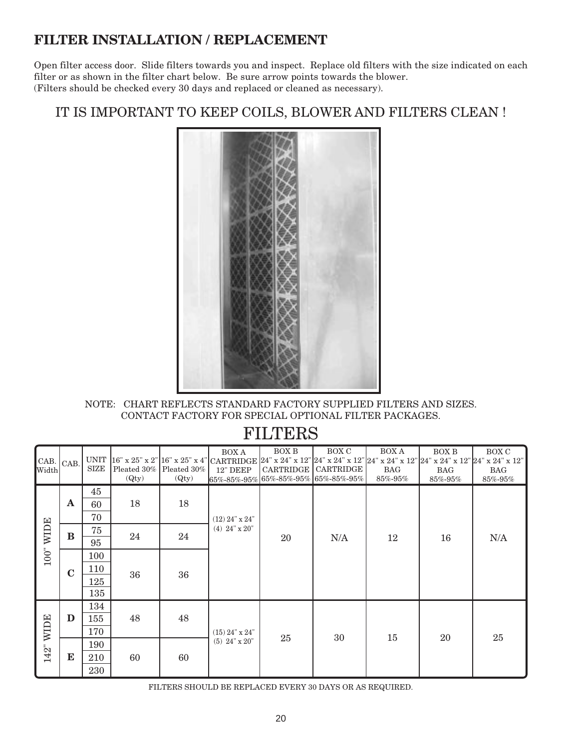### **FILTER INSTALLATION / REPLACEMENT**

Open filter access door. Slide filters towards you and inspect. Replace old filters with the size indicated on each filter or as shown in the filter chart below. Be sure arrow points towards the blower. (Filters should be checked every 30 days and replaced or cleaned as necessary).

### IT IS IMPORTANT TO KEEP COILS, BLOWER AND FILTERS CLEAN !



NOTE: CHART REFLECTS STANDARD FACTORY SUPPLIED FILTERS AND SIZES. CONTACT FACTORY FOR SPECIAL OPTIONAL FILTER PACKAGES.

|                       |              |      |                              |                           | <b>BOX A</b>     | BOX B                                        | BOX C                 | <b>BOX A</b>  | BOX B                                                                                                                                                          | <b>BOX C</b> |
|-----------------------|--------------|------|------------------------------|---------------------------|------------------|----------------------------------------------|-----------------------|---------------|----------------------------------------------------------------------------------------------------------------------------------------------------------------|--------------|
| CAB.                  | $CAB$ .      |      |                              |                           |                  |                                              |                       |               | UNIT  16" x 25" x 2" 16" x 25" x 4" CARTRIDGE  24" x 24" x 12" 24" x 24" x 12" 24" x 24" x 12" 24" x 24" x 12" 24" x 24" x 12" 24" x 24" x 12" 24" x 24" x 12" |              |
| Width                 |              | SIZE |                              | Pleated 30%   Pleated 30% | <b>12" DEEP</b>  |                                              | CARTRIDGE   CARTRIDGE | <b>BAG</b>    | <b>BAG</b>                                                                                                                                                     | <b>BAG</b>   |
|                       |              |      | $\left( \mathrm{Qty}\right)$ | (Qty)                     |                  | $65\% - 85\% - 95\%$ 65%-85%-95% 65%-85%-95% |                       | $85\% - 95\%$ | 85%-95%                                                                                                                                                        | 85%-95%      |
|                       |              | 45   |                              |                           |                  |                                              |                       |               |                                                                                                                                                                |              |
|                       | $\mathbf{A}$ | 60   | 18                           | 18                        |                  |                                              |                       |               |                                                                                                                                                                |              |
| <b>WIDE</b><br>$100"$ |              | 70   |                              |                           | $(12)$ 24" x 24" |                                              | N/A                   |               |                                                                                                                                                                |              |
|                       | $\bf{B}$     | 75   | 24                           | 24                        | $(4)$ 24" x 20"  | 20                                           |                       | 12            | 16                                                                                                                                                             | N/A          |
|                       |              | 95   |                              |                           |                  |                                              |                       |               |                                                                                                                                                                |              |
|                       |              | 100  |                              |                           |                  |                                              |                       |               |                                                                                                                                                                |              |
|                       | $\mathbf C$  | 110  | 36                           | 36                        |                  |                                              |                       |               |                                                                                                                                                                |              |
|                       |              | 125  |                              |                           |                  |                                              |                       |               |                                                                                                                                                                |              |
|                       |              | 135  |                              |                           |                  |                                              |                       |               |                                                                                                                                                                |              |
|                       |              | 134  |                              |                           |                  |                                              |                       |               |                                                                                                                                                                |              |
|                       | D            | 155  | 48                           | 48                        |                  |                                              |                       |               |                                                                                                                                                                |              |
| <b>WIDE</b>           |              | 170  |                              |                           | $(15)$ 24" x 24" |                                              | 30                    |               | 20                                                                                                                                                             | 25           |
|                       |              | 190  |                              |                           | $(5)$ 24" x 20"  | 25                                           |                       | 15            |                                                                                                                                                                |              |
| 142"                  | E            | 210  | 60                           | 60                        |                  |                                              |                       |               |                                                                                                                                                                |              |
|                       |              | 230  |                              |                           |                  |                                              |                       |               |                                                                                                                                                                |              |

### FILTERS

FILTERS SHOULD BE REPLACED EVERY 30 DAYS OR AS REQUIRED.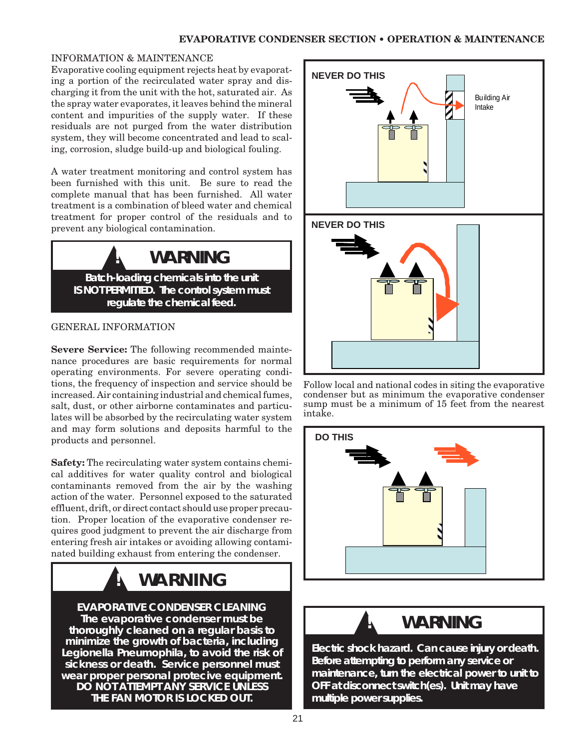#### INFORMATION & MAINTENANCE

Evaporative cooling equipment rejects heat by evaporating a portion of the recirculated water spray and discharging it from the unit with the hot, saturated air. As the spray water evaporates, it leaves behind the mineral content and impurities of the supply water. If these residuals are not purged from the water distribution system, they will become concentrated and lead to scaling, corrosion, sludge build-up and biological fouling.

A water treatment monitoring and control system has been furnished with this unit. Be sure to read the complete manual that has been furnished. All water treatment is a combination of bleed water and chemical treatment for proper control of the residuals and to prevent any biological contamination.



#### GENERAL INFORMATION

**Severe Service:** The following recommended maintenance procedures are basic requirements for normal operating environments. For severe operating conditions, the frequency of inspection and service should be increased. Air containing industrial and chemical fumes, salt, dust, or other airborne contaminates and particulates will be absorbed by the recirculating water system and may form solutions and deposits harmful to the products and personnel.

**Safety:** The recirculating water system contains chemical additives for water quality control and biological contaminants removed from the air by the washing action of the water. Personnel exposed to the saturated effluent, drift, or direct contact should use proper precaution. Proper location of the evaporative condenser requires good judgment to prevent the air discharge from entering fresh air intakes or avoiding allowing contaminated building exhaust from entering the condenser.

## ▲**! WARNING**

**EVAPORATIVE CONDENSER CLEANING The evaporative condenser must be thoroughly cleaned on a regular basis to minimize the growth of bacteria, including Legionella Pneumophila, to avoid the risk of sickness or death. Service personnel must wear proper personal protecive equipment. DO NOT ATTEMPT ANY SERVICE UNLESS THE FAN MOTOR IS LOCKED OUT.**



Follow local and national codes in siting the evaporative condenser but as minimum the evaporative condenser sump must be a minimum of 15 feet from the nearest intake.



## **WARNING**

**Electric shock hazard. Can cause injury or death. Before attempting to perform any service or maintenance, turn the electrical power to unit to OFF at disconnect switch(es). Unit may have multiple power supplies.**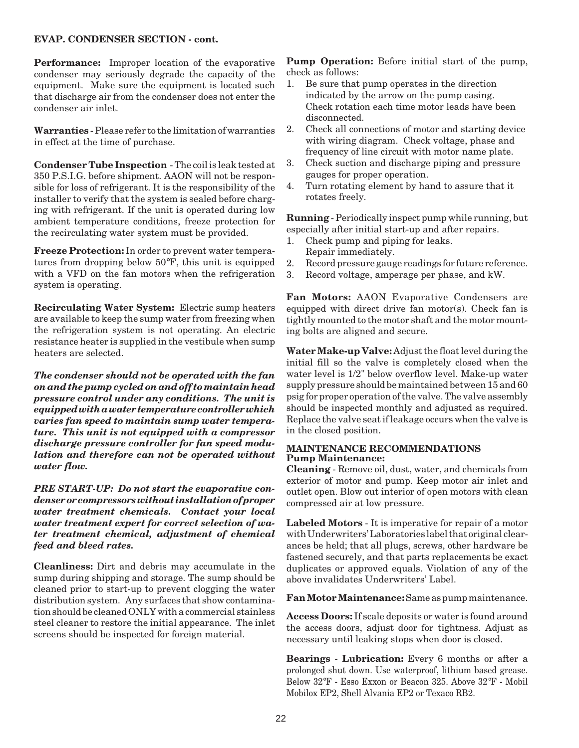#### **EVAP. CONDENSER SECTION - cont.**

**Performance:** Improper location of the evaporative condenser may seriously degrade the capacity of the equipment. Make sure the equipment is located such that discharge air from the condenser does not enter the condenser air inlet.

**Warranties** - Please refer to the limitation of warranties in effect at the time of purchase.

**Condenser Tube Inspection** - The coil is leak tested at 350 P.S.I.G. before shipment. AAON will not be responsible for loss of refrigerant. It is the responsibility of the installer to verify that the system is sealed before charging with refrigerant. If the unit is operated during low ambient temperature conditions, freeze protection for the recirculating water system must be provided.

**Freeze Protection:** In order to prevent water temperatures from dropping below 50°F, this unit is equipped with a VFD on the fan motors when the refrigeration system is operating.

**Recirculating Water System:** Electric sump heaters are available to keep the sump water from freezing when the refrigeration system is not operating. An electric resistance heater is supplied in the vestibule when sump heaters are selected.

*The condenser should not be operated with the fan on and the pump cycled on and off to maintain head pressure control under any conditions. The unit is equipped with a water temperature controller which varies fan speed to maintain sump water temperature. This unit is not equipped with a compressor discharge pressure controller for fan speed modulation and therefore can not be operated without water flow.*

*PRE START-UP: Do not start the evaporative condenser or compressors without installation of proper water treatment chemicals. Contact your local water treatment expert for correct selection of water treatment chemical, adjustment of chemical feed and bleed rates.*

**Cleanliness:** Dirt and debris may accumulate in the sump during shipping and storage. The sump should be cleaned prior to start-up to prevent clogging the water distribution system. Any surfaces that show contamination should be cleaned ONLY with a commercial stainless steel cleaner to restore the initial appearance. The inlet screens should be inspected for foreign material.

**Pump Operation:** Before initial start of the pump, check as follows:

- 1. Be sure that pump operates in the direction indicated by the arrow on the pump casing. Check rotation each time motor leads have been disconnected.
- 2. Check all connections of motor and starting device with wiring diagram. Check voltage, phase and frequency of line circuit with motor name plate.
- 3. Check suction and discharge piping and pressure gauges for proper operation.
- 4. Turn rotating element by hand to assure that it rotates freely.

**Running** - Periodically inspect pump while running, but especially after initial start-up and after repairs.

- 1. Check pump and piping for leaks. Repair immediately.
- 2. Record pressure gauge readings for future reference.
- 3. Record voltage, amperage per phase, and kW.

**Fan Motors:** AAON Evaporative Condensers are equipped with direct drive fan motor(s). Check fan is tightly mounted to the motor shaft and the motor mounting bolts are aligned and secure.

**Water Make-up Valve:** Adjust the float level during the initial fill so the valve is completely closed when the water level is 1/2" below overflow level. Make-up water supply pressure should be maintained between 15 and 60 psig for proper operation of the valve. The valve assembly should be inspected monthly and adjusted as required. Replace the valve seat if leakage occurs when the valve is in the closed position.

#### **MAINTENANCE RECOMMENDATIONS Pump Maintenance:**

**Cleaning** - Remove oil, dust, water, and chemicals from exterior of motor and pump. Keep motor air inlet and outlet open. Blow out interior of open motors with clean compressed air at low pressure.

**Labeled Motors** - It is imperative for repair of a motor with Underwriters' Laboratories label that original clearances be held; that all plugs, screws, other hardware be fastened securely, and that parts replacements be exact duplicates or approved equals. Violation of any of the above invalidates Underwriters' Label.

**Fan Motor Maintenance:** Same as pump maintenance.

**Access Doors:** If scale deposits or water is found around the access doors, adjust door for tightness. Adjust as necessary until leaking stops when door is closed.

**Bearings - Lubrication:** Every 6 months or after a prolonged shut down. Use waterproof, lithium based grease. Below 32°F - Esso Exxon or Beacon 325. Above 32°F - Mobil Mobilox EP2, Shell Alvania EP2 or Texaco RB2.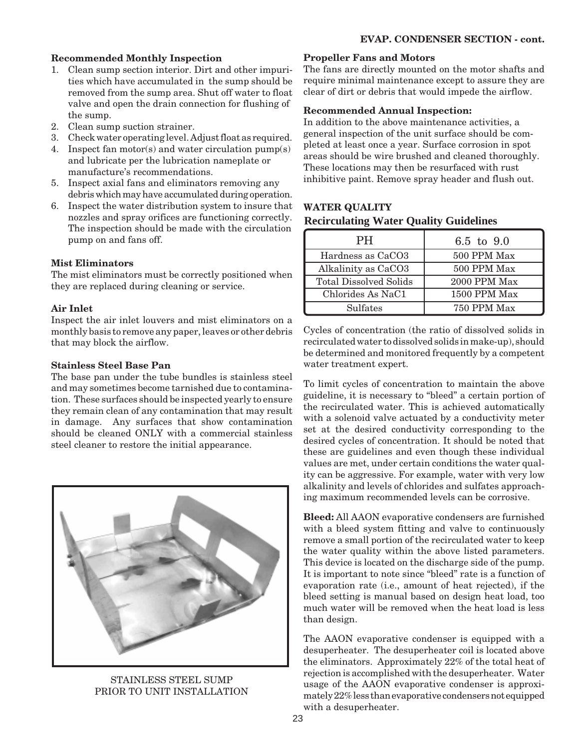#### **Recommended Monthly Inspection**

- 1. Clean sump section interior. Dirt and other impurities which have accumulated in the sump should be removed from the sump area. Shut off water to float valve and open the drain connection for flushing of the sump.
- 2. Clean sump suction strainer.
- 3. Check water operating level. Adjust float as required.
- 4. Inspect fan motor(s) and water circulation pump(s) and lubricate per the lubrication nameplate or manufacture's recommendations.
- 5. Inspect axial fans and eliminators removing any debris which may have accumulated during operation.
- 6. Inspect the water distribution system to insure that nozzles and spray orifices are functioning correctly. The inspection should be made with the circulation pump on and fans off.

#### **Mist Eliminators**

The mist eliminators must be correctly positioned when they are replaced during cleaning or service.

#### **Air Inlet**

Inspect the air inlet louvers and mist eliminators on a monthly basis to remove any paper, leaves or other debris that may block the airflow.

#### **Stainless Steel Base Pan**

The base pan under the tube bundles is stainless steel and may sometimes become tarnished due to contamination. These surfaces should be inspected yearly to ensure they remain clean of any contamination that may result in damage. Any surfaces that show contamination should be cleaned ONLY with a commercial stainless steel cleaner to restore the initial appearance.



STAINLESS STEEL SUMP PRIOR TO UNIT INSTALLATION

#### **Propeller Fans and Motors**

The fans are directly mounted on the motor shafts and require minimal maintenance except to assure they are clear of dirt or debris that would impede the airflow.

#### **Recommended Annual Inspection:**

In addition to the above maintenance activities, a general inspection of the unit surface should be completed at least once a year. Surface corrosion in spot areas should be wire brushed and cleaned thoroughly. These locations may then be resurfaced with rust inhibitive paint. Remove spray header and flush out.

#### **Recirculating Water Quality Guidelines WATER QUALITY**

| <b>PH</b>                     | 6.5 to 9.0   |
|-------------------------------|--------------|
| Hardness as CaCO3             | 500 PPM Max  |
| Alkalinity as CaCO3           | 500 PPM Max  |
| <b>Total Dissolved Solids</b> | 2000 PPM Max |
| Chlorides As NaC1             | 1500 PPM Max |
| Sulfates                      | 750 PPM Max  |

Cycles of concentration (the ratio of dissolved solids in recirculated water to dissolved solids in make-up), should be determined and monitored frequently by a competent water treatment expert.

To limit cycles of concentration to maintain the above guideline, it is necessary to "bleed" a certain portion of the recirculated water. This is achieved automatically with a solenoid valve actuated by a conductivity meter set at the desired conductivity corresponding to the desired cycles of concentration. It should be noted that these are guidelines and even though these individual values are met, under certain conditions the water quality can be aggressive. For example, water with very low alkalinity and levels of chlorides and sulfates approaching maximum recommended levels can be corrosive.

**Bleed:** All AAON evaporative condensers are furnished with a bleed system fitting and valve to continuously remove a small portion of the recirculated water to keep the water quality within the above listed parameters. This device is located on the discharge side of the pump. It is important to note since "bleed" rate is a function of evaporation rate (i.e., amount of heat rejected), if the bleed setting is manual based on design heat load, too much water will be removed when the heat load is less than design.

The AAON evaporative condenser is equipped with a desuperheater. The desuperheater coil is located above the eliminators. Approximately 22% of the total heat of rejection is accomplished with the desuperheater. Water usage of the AAON evaporative condenser is approximately 22% less than evaporative condensers not equipped with a desuperheater.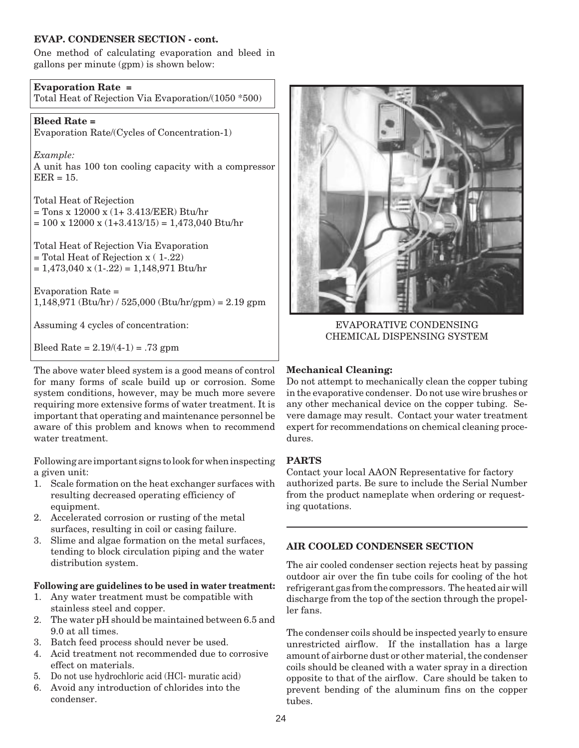#### **EVAP. CONDENSER SECTION - cont.**

One method of calculating evaporation and bleed in gallons per minute (gpm) is shown below:

**Evaporation Rate =** Total Heat of Rejection Via Evaporation/(1050 \*500)

**Bleed Rate =** Evaporation Rate/(Cycles of Concentration-1)

*Example:* A unit has 100 ton cooling capacity with a compressor  $EER = 15$ .

Total Heat of Rejection = Tons x 12000 x (1+ 3.413/EER) Btu/hr  $= 100 \times 12000 \times (1+3.413/15) = 1,473,040$  Btu/hr

Total Heat of Rejection Via Evaporation = Total Heat of Rejection x ( 1-.22)  $= 1,473,040 \times (1-.22) = 1,148,971$  Btu/hr

Evaporation Rate =  $1,148,971$  (Btu/hr) /  $525,000$  (Btu/hr/gpm) =  $2.19$  gpm

Assuming 4 cycles of concentration:

Bleed Rate =  $2.19/(4-1)$  = .73 gpm

The above water bleed system is a good means of control for many forms of scale build up or corrosion. Some system conditions, however, may be much more severe requiring more extensive forms of water treatment. It is important that operating and maintenance personnel be aware of this problem and knows when to recommend water treatment.

Following are important signs to look for when inspecting a given unit:

- 1. Scale formation on the heat exchanger surfaces with resulting decreased operating efficiency of equipment.
- 2. Accelerated corrosion or rusting of the metal surfaces, resulting in coil or casing failure.
- 3. Slime and algae formation on the metal surfaces, tending to block circulation piping and the water distribution system.

#### **Following are guidelines to be used in water treatment:**

- 1. Any water treatment must be compatible with stainless steel and copper.
- 2. The water pH should be maintained between 6.5 and 9.0 at all times.
- 3. Batch feed process should never be used.
- 4. Acid treatment not recommended due to corrosive effect on materials.
- 5. Do not use hydrochloric acid (HCl- muratic acid)
- 6. Avoid any introduction of chlorides into the condenser.



EVAPORATIVE CONDENSING CHEMICAL DISPENSING SYSTEM

#### **Mechanical Cleaning:**

Do not attempt to mechanically clean the copper tubing in the evaporative condenser. Do not use wire brushes or any other mechanical device on the copper tubing. Severe damage may result. Contact your water treatment expert for recommendations on chemical cleaning procedures.

#### **PARTS**

Contact your local AAON Representative for factory authorized parts. Be sure to include the Serial Number from the product nameplate when ordering or requesting quotations.

#### **AIR COOLED CONDENSER SECTION**

The air cooled condenser section rejects heat by passing outdoor air over the fin tube coils for cooling of the hot refrigerant gas from the compressors. The heated air will discharge from the top of the section through the propeller fans.

The condenser coils should be inspected yearly to ensure unrestricted airflow. If the installation has a large amount of airborne dust or other material, the condenser coils should be cleaned with a water spray in a direction opposite to that of the airflow. Care should be taken to prevent bending of the aluminum fins on the copper tubes.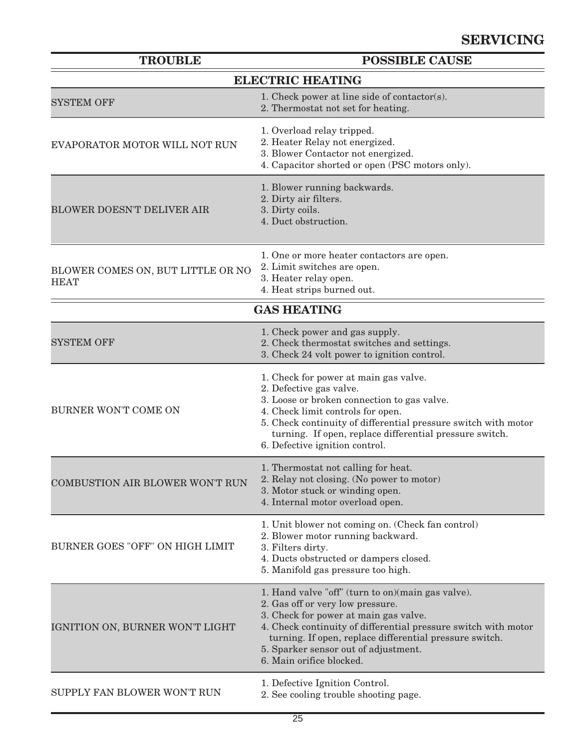| <b>TROUBLE</b>                                   | <b>POSSIBLE CAUSE</b>                                                                                                                                                                                                                                                                                                            |  |  |  |  |  |  |  |
|--------------------------------------------------|----------------------------------------------------------------------------------------------------------------------------------------------------------------------------------------------------------------------------------------------------------------------------------------------------------------------------------|--|--|--|--|--|--|--|
| <b>ELECTRIC HEATING</b>                          |                                                                                                                                                                                                                                                                                                                                  |  |  |  |  |  |  |  |
| <b>SYSTEM OFF</b>                                | 1. Check power at line side of contactor(s).<br>2. Thermostat not set for heating.                                                                                                                                                                                                                                               |  |  |  |  |  |  |  |
| EVAPORATOR MOTOR WILL NOT RUN                    | 1. Overload relay tripped.<br>2. Heater Relay not energized.<br>3. Blower Contactor not energized.<br>4. Capacitor shorted or open (PSC motors only).                                                                                                                                                                            |  |  |  |  |  |  |  |
| <b>BLOWER DOESN'T DELIVER AIR</b>                | 1. Blower running backwards.<br>2. Dirty air filters.<br>3. Dirty coils.<br>4. Duct obstruction.                                                                                                                                                                                                                                 |  |  |  |  |  |  |  |
| BLOWER COMES ON, BUT LITTLE OR NO<br><b>HEAT</b> | 1. One or more heater contactors are open.<br>2. Limit switches are open.<br>3. Heater relay open.<br>4. Heat strips burned out.                                                                                                                                                                                                 |  |  |  |  |  |  |  |
| <b>GAS HEATING</b>                               |                                                                                                                                                                                                                                                                                                                                  |  |  |  |  |  |  |  |
| <b>SYSTEM OFF</b>                                | 1. Check power and gas supply.<br>2. Check thermostat switches and settings.<br>3. Check 24 volt power to ignition control.                                                                                                                                                                                                      |  |  |  |  |  |  |  |
| BURNER WON'T COME ON                             | 1. Check for power at main gas valve.<br>2. Defective gas valve.<br>3. Loose or broken connection to gas valve.<br>4. Check limit controls for open.<br>5. Check continuity of differential pressure switch with motor<br>turning. If open, replace differential pressure switch.<br>6. Defective ignition control.              |  |  |  |  |  |  |  |
| <b>COMBUSTION AIR BLOWER WON'T RUN</b>           | 1. Thermostat not calling for heat.<br>2. Relay not closing. (No power to motor)<br>3. Motor stuck or winding open.<br>4. Internal motor overload open.                                                                                                                                                                          |  |  |  |  |  |  |  |
| BURNER GOES "OFF" ON HIGH LIMIT                  | 1. Unit blower not coming on. (Check fan control)<br>2. Blower motor running backward.<br>3. Filters dirty.<br>4. Ducts obstructed or dampers closed.<br>5. Manifold gas pressure too high.                                                                                                                                      |  |  |  |  |  |  |  |
| IGNITION ON, BURNER WON'T LIGHT                  | 1. Hand valve "off" (turn to on) (main gas valve).<br>2. Gas off or very low pressure.<br>3. Check for power at main gas valve.<br>4. Check continuity of differential pressure switch with motor<br>turning. If open, replace differential pressure switch.<br>5. Sparker sensor out of adjustment.<br>6. Main orifice blocked. |  |  |  |  |  |  |  |
| SUPPLY FAN BLOWER WON'T RUN                      | 1. Defective Ignition Control.<br>2. See cooling trouble shooting page.                                                                                                                                                                                                                                                          |  |  |  |  |  |  |  |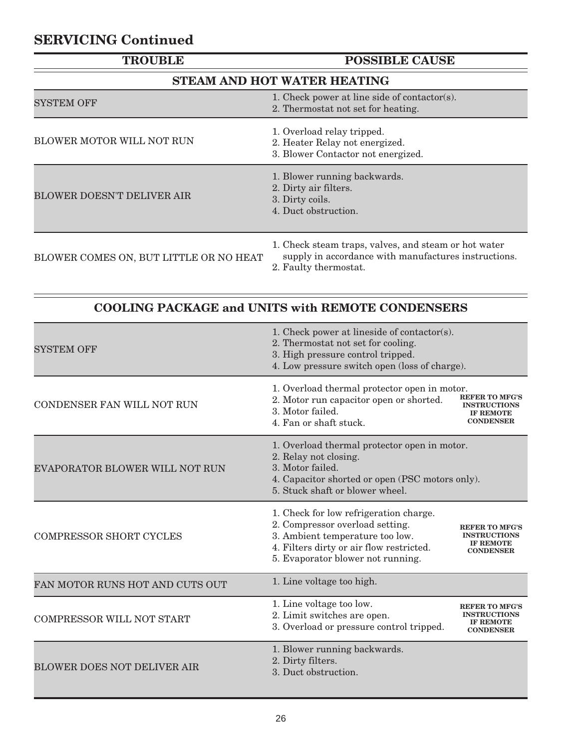## **SERVICING Continued**

| <b>TROUBLE</b>                         | <b>POSSIBLE CAUSE</b>                                                                                                                 |  |  |  |  |  |  |  |
|----------------------------------------|---------------------------------------------------------------------------------------------------------------------------------------|--|--|--|--|--|--|--|
| STEAM AND HOT WATER HEATING            |                                                                                                                                       |  |  |  |  |  |  |  |
| SYSTEM OFF                             | 1. Check power at line side of contactor(s).<br>2. Thermostat not set for heating.                                                    |  |  |  |  |  |  |  |
| BLOWER MOTOR WILL NOT RUN              | 1. Overload relay tripped.<br>2. Heater Relay not energized.<br>3. Blower Contactor not energized.                                    |  |  |  |  |  |  |  |
| <b>BLOWER DOESN'T DELIVER AIR</b>      | 1. Blower running backwards.<br>2. Dirty air filters.<br>3. Dirty coils.<br>4. Duct obstruction.                                      |  |  |  |  |  |  |  |
| BLOWER COMES ON, BUT LITTLE OR NO HEAT | 1. Check steam traps, valves, and steam or hot water<br>supply in accordance with manufactures instructions.<br>2. Faulty thermostat. |  |  |  |  |  |  |  |

### **COOLING PACKAGE and UNITS with REMOTE CONDENSERS**

| <b>SYSTEM OFF</b>                  | 1. Check power at lineside of contactor(s).<br>2. Thermostat not set for cooling.<br>3. High pressure control tripped.<br>4. Low pressure switch open (loss of charge).                       |                                                                                      |
|------------------------------------|-----------------------------------------------------------------------------------------------------------------------------------------------------------------------------------------------|--------------------------------------------------------------------------------------|
| CONDENSER FAN WILL NOT RUN         | 1. Overload thermal protector open in motor.<br>2. Motor run capacitor open or shorted.<br>3. Motor failed.<br>4. Fan or shaft stuck.                                                         | <b>REFER TO MFG'S</b><br><b>INSTRUCTIONS</b><br><b>IF REMOTE</b><br><b>CONDENSER</b> |
| EVAPORATOR BLOWER WILL NOT RUN     | 1. Overload thermal protector open in motor.<br>2. Relay not closing.<br>3. Motor failed.<br>4. Capacitor shorted or open (PSC motors only).<br>5. Stuck shaft or blower wheel.               |                                                                                      |
| <b>COMPRESSOR SHORT CYCLES</b>     | 1. Check for low refrigeration charge.<br>2. Compressor overload setting.<br>3. Ambient temperature too low.<br>4. Filters dirty or air flow restricted.<br>5. Evaporator blower not running. | <b>REFER TO MFG'S</b><br><b>INSTRUCTIONS</b><br><b>IF REMOTE</b><br><b>CONDENSER</b> |
| FAN MOTOR RUNS HOT AND CUTS OUT    | 1. Line voltage too high.                                                                                                                                                                     |                                                                                      |
| <b>COMPRESSOR WILL NOT START</b>   | 1. Line voltage too low.<br>2. Limit switches are open.<br>3. Overload or pressure control tripped.                                                                                           | <b>REFER TO MFG'S</b><br><b>INSTRUCTIONS</b><br><b>IF REMOTE</b><br><b>CONDENSER</b> |
| <b>BLOWER DOES NOT DELIVER AIR</b> | 1. Blower running backwards.<br>2. Dirty filters.<br>3. Duct obstruction.                                                                                                                     |                                                                                      |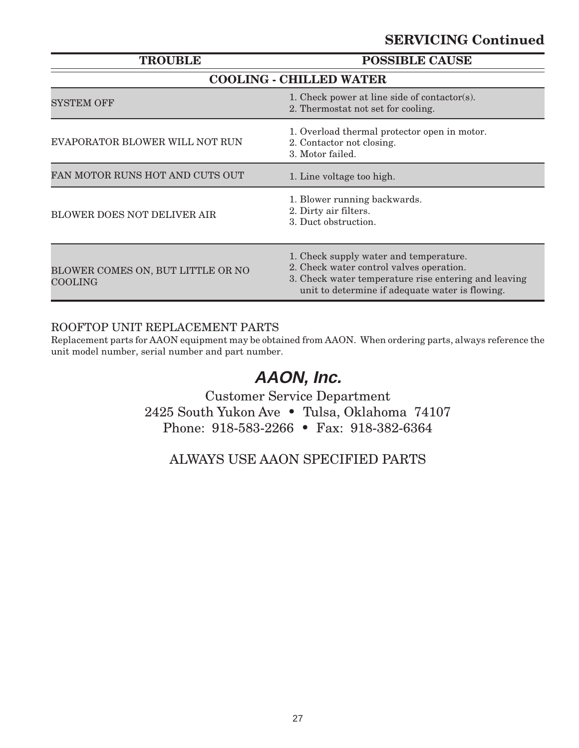### **SERVICING Continued**

| <b>TROUBLE</b>                                      | <b>POSSIBLE CAUSE</b>                                                                                                                                                                         |  |  |  |  |  |
|-----------------------------------------------------|-----------------------------------------------------------------------------------------------------------------------------------------------------------------------------------------------|--|--|--|--|--|
|                                                     | <b>COOLING - CHILLED WATER</b>                                                                                                                                                                |  |  |  |  |  |
| SYSTEM OFF                                          | 1. Check power at line side of contactor(s).<br>2. Thermostat not set for cooling.                                                                                                            |  |  |  |  |  |
| EVAPORATOR BLOWER WILL NOT RUN                      | 1. Overload thermal protector open in motor.<br>2. Contactor not closing.<br>3. Motor failed.                                                                                                 |  |  |  |  |  |
| FAN MOTOR RUNS HOT AND CUTS OUT                     | 1. Line voltage too high.                                                                                                                                                                     |  |  |  |  |  |
| <b>BLOWER DOES NOT DELIVER AIR</b>                  | 1. Blower running backwards.<br>2. Dirty air filters.<br>3. Duct obstruction.                                                                                                                 |  |  |  |  |  |
| BLOWER COMES ON, BUT LITTLE OR NO<br><b>COOLING</b> | 1. Check supply water and temperature.<br>2. Check water control valves operation.<br>3. Check water temperature rise entering and leaving<br>unit to determine if adequate water is flowing. |  |  |  |  |  |

#### ROOFTOP UNIT REPLACEMENT PARTS

Replacement parts for AAON equipment may be obtained from AAON. When ordering parts, always reference the unit model number, serial number and part number.

## **AAON, Inc.**

Customer Service Department 2425 South Yukon Ave • Tulsa, Oklahoma 74107 Phone: 918-583-2266 • Fax: 918-382-6364

ALWAYS USE AAON SPECIFIED PARTS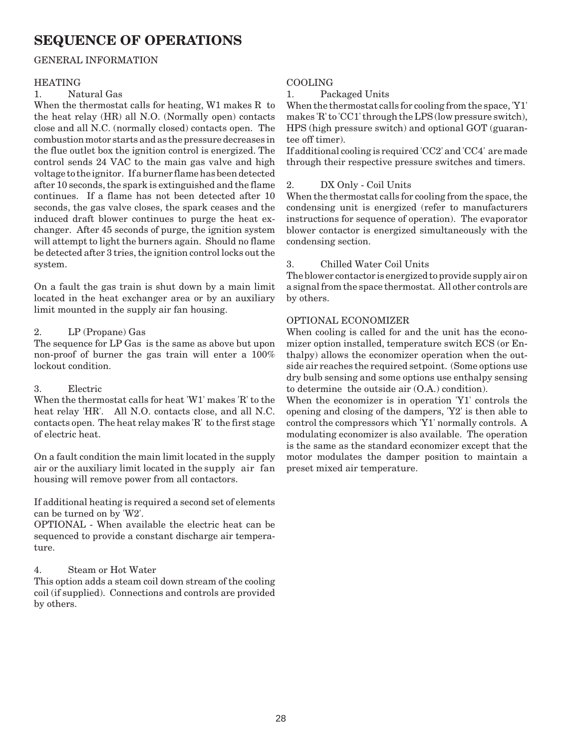### **SEQUENCE OF OPERATIONS**

#### GENERAL INFORMATION

#### HEATING

#### 1. Natural Gas

When the thermostat calls for heating, W1 makes R to the heat relay (HR) all N.O. (Normally open) contacts close and all N.C. (normally closed) contacts open. The combustion motor starts and as the pressure decreases in the flue outlet box the ignition control is energized. The control sends 24 VAC to the main gas valve and high voltage to the ignitor. If a burner flame has been detected after 10 seconds, the spark is extinguished and the flame continues. If a flame has not been detected after 10 seconds, the gas valve closes, the spark ceases and the induced draft blower continues to purge the heat exchanger. After 45 seconds of purge, the ignition system will attempt to light the burners again. Should no flame be detected after 3 tries, the ignition control locks out the system.

On a fault the gas train is shut down by a main limit located in the heat exchanger area or by an auxiliary limit mounted in the supply air fan housing.

#### 2. LP (Propane) Gas

The sequence for LP Gas is the same as above but upon non-proof of burner the gas train will enter a 100% lockout condition.

#### 3. Electric

When the thermostat calls for heat 'W1' makes 'R' to the heat relay 'HR'. All N.O. contacts close, and all N.C. contacts open. The heat relay makes 'R' to the first stage of electric heat.

On a fault condition the main limit located in the supply air or the auxiliary limit located in the supply air fan housing will remove power from all contactors.

If additional heating is required a second set of elements can be turned on by 'W2'.

OPTIONAL - When available the electric heat can be sequenced to provide a constant discharge air temperature.

4. Steam or Hot Water

This option adds a steam coil down stream of the cooling coil (if supplied). Connections and controls are provided by others.

#### COOLING

1. Packaged Units

When the thermostat calls for cooling from the space, 'Y1' makes 'R' to 'CC1' through the LPS (low pressure switch), HPS (high pressure switch) and optional GOT (guarantee off timer).

If additional cooling is required 'CC2' and 'CC4' are made through their respective pressure switches and timers.

#### 2. DX Only - Coil Units

When the thermostat calls for cooling from the space, the condensing unit is energized (refer to manufacturers instructions for sequence of operation). The evaporator blower contactor is energized simultaneously with the condensing section.

#### 3. Chilled Water Coil Units

The blower contactor is energized to provide supply air on a signal from the space thermostat. All other controls are by others.

#### OPTIONAL ECONOMIZER

When cooling is called for and the unit has the economizer option installed, temperature switch ECS (or Enthalpy) allows the economizer operation when the outside air reaches the required setpoint. (Some options use dry bulb sensing and some options use enthalpy sensing to determine the outside air (O.A.) condition).

When the economizer is in operation 'Y1' controls the opening and closing of the dampers, 'Y2' is then able to control the compressors which 'Y1' normally controls. A modulating economizer is also available. The operation is the same as the standard economizer except that the motor modulates the damper position to maintain a preset mixed air temperature.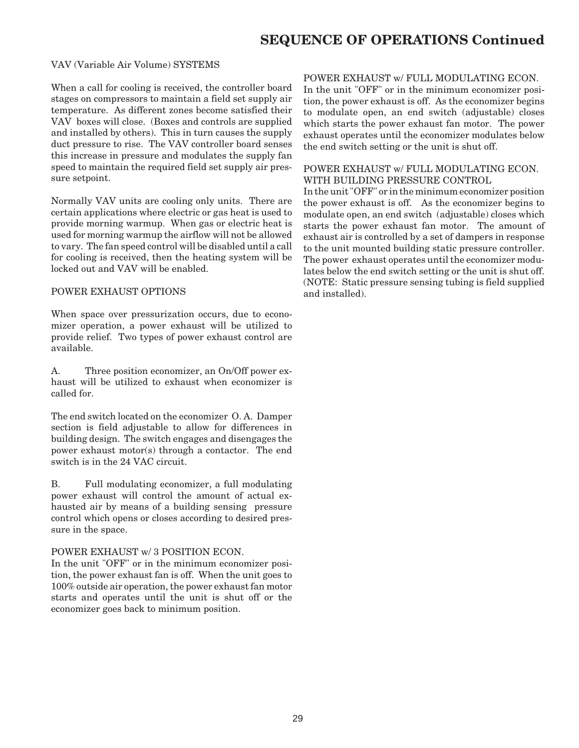### **SEQUENCE OF OPERATIONS Continued**

#### VAV (Variable Air Volume) SYSTEMS

When a call for cooling is received, the controller board stages on compressors to maintain a field set supply air temperature. As different zones become satisfied their VAV boxes will close. (Boxes and controls are supplied and installed by others). This in turn causes the supply duct pressure to rise. The VAV controller board senses this increase in pressure and modulates the supply fan speed to maintain the required field set supply air pressure setpoint.

Normally VAV units are cooling only units. There are certain applications where electric or gas heat is used to provide morning warmup. When gas or electric heat is used for morning warmup the airflow will not be allowed to vary. The fan speed control will be disabled until a call for cooling is received, then the heating system will be locked out and VAV will be enabled.

#### POWER EXHAUST OPTIONS

When space over pressurization occurs, due to economizer operation, a power exhaust will be utilized to provide relief. Two types of power exhaust control are available.

A. Three position economizer, an On/Off power exhaust will be utilized to exhaust when economizer is called for.

The end switch located on the economizer O. A. Damper section is field adjustable to allow for differences in building design. The switch engages and disengages the power exhaust motor(s) through a contactor. The end switch is in the 24 VAC circuit.

B. Full modulating economizer, a full modulating power exhaust will control the amount of actual exhausted air by means of a building sensing pressure control which opens or closes according to desired pressure in the space.

#### POWER EXHAUST w/ 3 POSITION ECON.

In the unit "OFF" or in the minimum economizer position, the power exhaust fan is off. When the unit goes to 100% outside air operation, the power exhaust fan motor starts and operates until the unit is shut off or the economizer goes back to minimum position.

#### POWER EXHAUST w/ FULL MODULATING ECON.

In the unit "OFF" or in the minimum economizer position, the power exhaust is off. As the economizer begins to modulate open, an end switch (adjustable) closes which starts the power exhaust fan motor. The power exhaust operates until the economizer modulates below the end switch setting or the unit is shut off.

#### POWER EXHAUST w/ FULL MODULATING ECON. WITH BUILDING PRESSURE CONTROL

In the unit "OFF" or in the minimum economizer position the power exhaust is off. As the economizer begins to modulate open, an end switch (adjustable) closes which starts the power exhaust fan motor. The amount of exhaust air is controlled by a set of dampers in response to the unit mounted building static pressure controller. The power exhaust operates until the economizer modulates below the end switch setting or the unit is shut off. (NOTE: Static pressure sensing tubing is field supplied and installed).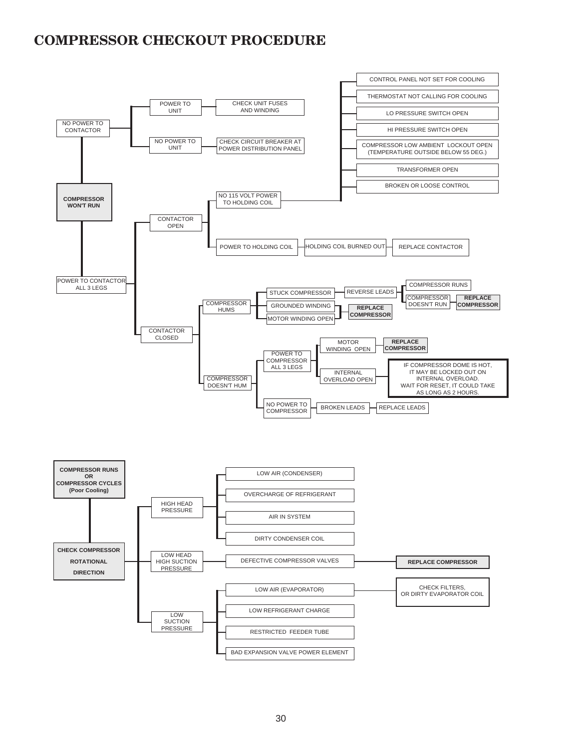### **COMPRESSOR CHECKOUT PROCEDURE**

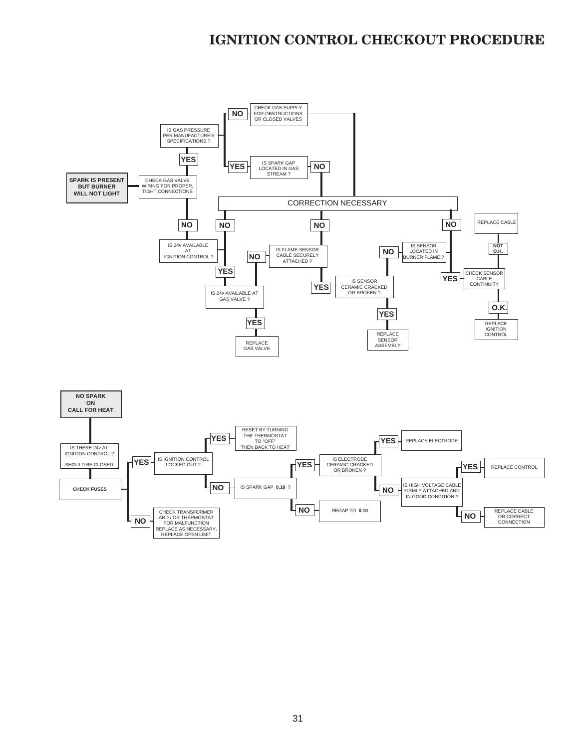### **IGNITION CONTROL CHECKOUT PROCEDURE**

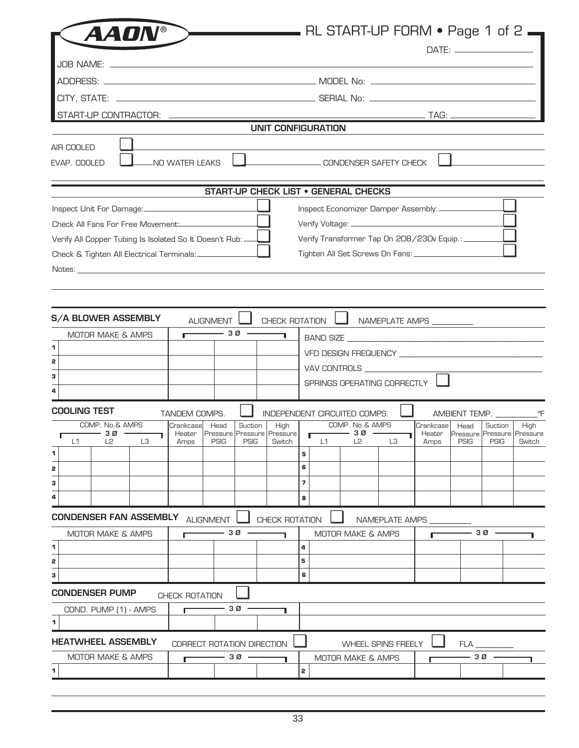| <b>AADN®</b>                                                                                                                                                                                                                   |                |                                                          |         |                |                         |                           |                                                                                                                                                                                                                                                                                                                                                                                                                          | RL START-UP FORM • Page 1 of 2                     |           |      |         |                                                                        |
|--------------------------------------------------------------------------------------------------------------------------------------------------------------------------------------------------------------------------------|----------------|----------------------------------------------------------|---------|----------------|-------------------------|---------------------------|--------------------------------------------------------------------------------------------------------------------------------------------------------------------------------------------------------------------------------------------------------------------------------------------------------------------------------------------------------------------------------------------------------------------------|----------------------------------------------------|-----------|------|---------|------------------------------------------------------------------------|
|                                                                                                                                                                                                                                |                |                                                          |         |                |                         |                           |                                                                                                                                                                                                                                                                                                                                                                                                                          |                                                    |           |      |         |                                                                        |
|                                                                                                                                                                                                                                |                |                                                          |         |                |                         |                           |                                                                                                                                                                                                                                                                                                                                                                                                                          |                                                    |           |      |         |                                                                        |
|                                                                                                                                                                                                                                |                |                                                          |         |                |                         |                           |                                                                                                                                                                                                                                                                                                                                                                                                                          |                                                    |           |      |         |                                                                        |
|                                                                                                                                                                                                                                |                |                                                          |         |                |                         |                           |                                                                                                                                                                                                                                                                                                                                                                                                                          |                                                    |           |      |         |                                                                        |
|                                                                                                                                                                                                                                |                |                                                          |         |                |                         |                           |                                                                                                                                                                                                                                                                                                                                                                                                                          |                                                    |           |      |         |                                                                        |
|                                                                                                                                                                                                                                |                |                                                          |         |                |                         | <b>UNIT CONFIGURATION</b> |                                                                                                                                                                                                                                                                                                                                                                                                                          |                                                    |           |      |         |                                                                        |
| AIR COOLED<br>EVAP, COOLED                                                                                                                                                                                                     | NO WATER LEAKS |                                                          |         |                |                         |                           |                                                                                                                                                                                                                                                                                                                                                                                                                          | CONDENSER SAFETY CHECK                             |           |      |         |                                                                        |
|                                                                                                                                                                                                                                |                | <b>START-UP CHECK LIST . GENERAL CHECKS</b>              |         |                |                         |                           |                                                                                                                                                                                                                                                                                                                                                                                                                          |                                                    |           |      |         |                                                                        |
|                                                                                                                                                                                                                                |                |                                                          |         |                |                         |                           |                                                                                                                                                                                                                                                                                                                                                                                                                          | Inspect Economizer Damper Assembly: ___________    |           |      |         |                                                                        |
|                                                                                                                                                                                                                                |                |                                                          |         |                |                         |                           |                                                                                                                                                                                                                                                                                                                                                                                                                          |                                                    |           |      |         |                                                                        |
| Verify All Copper Tubing Is Isolated So It Doesn't Rub:                                                                                                                                                                        |                |                                                          |         |                |                         |                           |                                                                                                                                                                                                                                                                                                                                                                                                                          | Verify Transformer Tap On 208/230v Equip.: _______ |           |      |         |                                                                        |
| Check & Tighten All Electrical Terminals: _____________                                                                                                                                                                        |                |                                                          |         |                |                         |                           |                                                                                                                                                                                                                                                                                                                                                                                                                          |                                                    |           |      |         |                                                                        |
| Notes: which is a series of the contract of the contract of the contract of the contract of the contract of the contract of the contract of the contract of the contract of the contract of the contract of the contract of th |                |                                                          |         |                |                         |                           |                                                                                                                                                                                                                                                                                                                                                                                                                          |                                                    |           |      |         |                                                                        |
|                                                                                                                                                                                                                                |                |                                                          |         |                |                         |                           |                                                                                                                                                                                                                                                                                                                                                                                                                          |                                                    |           |      |         |                                                                        |
|                                                                                                                                                                                                                                |                |                                                          |         |                |                         |                           |                                                                                                                                                                                                                                                                                                                                                                                                                          |                                                    |           |      |         |                                                                        |
| S/A BLOWER ASSEMBLY                                                                                                                                                                                                            |                | <b>ALIGNMENT</b>                                         |         |                |                         |                           |                                                                                                                                                                                                                                                                                                                                                                                                                          | CHECK ROTATION <b>4</b> NAMEPLATE AMPS __________  |           |      |         |                                                                        |
| MOTOR MAKE & AMPS                                                                                                                                                                                                              | г              | - 30 -                                                   |         |                |                         |                           |                                                                                                                                                                                                                                                                                                                                                                                                                          |                                                    |           |      |         |                                                                        |
| 1                                                                                                                                                                                                                              |                |                                                          |         |                |                         |                           |                                                                                                                                                                                                                                                                                                                                                                                                                          |                                                    |           |      |         |                                                                        |
| 2                                                                                                                                                                                                                              |                |                                                          |         |                |                         |                           |                                                                                                                                                                                                                                                                                                                                                                                                                          | VAV CONTROLS _________________                     |           |      |         |                                                                        |
| 3                                                                                                                                                                                                                              |                |                                                          |         |                |                         |                           |                                                                                                                                                                                                                                                                                                                                                                                                                          | SPRINGS OPERATING CORRECTLY                        |           |      |         |                                                                        |
| 4                                                                                                                                                                                                                              |                |                                                          |         |                |                         |                           |                                                                                                                                                                                                                                                                                                                                                                                                                          |                                                    |           |      |         |                                                                        |
| <b>COOLING TEST</b>                                                                                                                                                                                                            | TANDEM COMPS.  |                                                          |         |                |                         |                           | INDEPENDENT CIRCUITED COMPS.                                                                                                                                                                                                                                                                                                                                                                                             |                                                    |           |      |         |                                                                        |
| COMP. No.& AMPS                                                                                                                                                                                                                | Crankcase Head |                                                          | Suction | High           |                         |                           | COMP. No.& AMPS                                                                                                                                                                                                                                                                                                                                                                                                          |                                                    | Crankcase | Head | Suction | High                                                                   |
| $\overline{\phantom{0}}$ 30 $\overline{\phantom{0}}$<br>T.<br>L1 L2 L3                                                                                                                                                         |                | Heater   Pressure   Pressure   Pressure  <br>Amps   PSIG |         | PSIG   Switch  |                         |                           | $\overline{1}$ 30 $\overline{1}$<br>$\overline{1}$ $\overline{1}$ $\overline{1}$ $\overline{1}$ $\overline{1}$ $\overline{1}$ $\overline{1}$ $\overline{1}$ $\overline{1}$ $\overline{1}$ $\overline{1}$ $\overline{1}$ $\overline{1}$ $\overline{1}$ $\overline{1}$ $\overline{1}$ $\overline{1}$ $\overline{1}$ $\overline{1}$ $\overline{1}$ $\overline{1}$ $\overline{1}$ $\overline{1}$ $\overline{1}$ $\overline{$ | ٦                                                  |           |      |         | Heater   Pressure   Pressure   Pressure<br>Amps   PSIG   PSIG   Switch |
| 1                                                                                                                                                                                                                              |                |                                                          |         |                | 5                       |                           |                                                                                                                                                                                                                                                                                                                                                                                                                          |                                                    |           |      |         |                                                                        |
| 2                                                                                                                                                                                                                              |                |                                                          |         |                | 6                       |                           |                                                                                                                                                                                                                                                                                                                                                                                                                          |                                                    |           |      |         |                                                                        |
| 3                                                                                                                                                                                                                              |                |                                                          |         |                | $\overline{\mathbf{z}}$ |                           |                                                                                                                                                                                                                                                                                                                                                                                                                          |                                                    |           |      |         |                                                                        |
| 4                                                                                                                                                                                                                              |                |                                                          |         |                | 8                       |                           |                                                                                                                                                                                                                                                                                                                                                                                                                          |                                                    |           |      |         |                                                                        |
| <b>CONDENSER FAN ASSEMBLY ALIGNMENT I</b>                                                                                                                                                                                      |                |                                                          |         | CHECK ROTATION |                         |                           |                                                                                                                                                                                                                                                                                                                                                                                                                          | NAMEPLATE AMPS _                                   |           |      |         |                                                                        |
| <b>MOTOR MAKE &amp; AMPS</b>                                                                                                                                                                                                   | Г              | - 30                                                     |         |                |                         |                           | MOTOR MAKE & AMPS                                                                                                                                                                                                                                                                                                                                                                                                        |                                                    |           |      | - 30    |                                                                        |
| 1                                                                                                                                                                                                                              |                |                                                          |         |                | 4                       |                           |                                                                                                                                                                                                                                                                                                                                                                                                                          |                                                    |           |      |         |                                                                        |
| 2                                                                                                                                                                                                                              |                |                                                          |         |                | 5                       |                           |                                                                                                                                                                                                                                                                                                                                                                                                                          |                                                    |           |      |         |                                                                        |
| з                                                                                                                                                                                                                              |                |                                                          |         |                | 6                       |                           |                                                                                                                                                                                                                                                                                                                                                                                                                          |                                                    |           |      |         |                                                                        |
| <b>CONDENSER PUMP</b>                                                                                                                                                                                                          | CHECK ROTATION |                                                          |         |                |                         |                           |                                                                                                                                                                                                                                                                                                                                                                                                                          |                                                    |           |      |         |                                                                        |
| COND. PUMP (1) - AMPS                                                                                                                                                                                                          | г              | -30                                                      |         |                |                         |                           |                                                                                                                                                                                                                                                                                                                                                                                                                          |                                                    |           |      |         |                                                                        |
| 1                                                                                                                                                                                                                              |                |                                                          |         |                |                         |                           |                                                                                                                                                                                                                                                                                                                                                                                                                          |                                                    |           |      |         |                                                                        |
| HEATWHEEL ASSEMBLY                                                                                                                                                                                                             |                | CORRECT ROTATION DIRECTION                               |         |                |                         |                           |                                                                                                                                                                                                                                                                                                                                                                                                                          | <b>WHEEL SPINS FREELY</b>                          |           | FLA  |         |                                                                        |
| <b>MOTOR MAKE &amp; AMPS</b>                                                                                                                                                                                                   |                | 3 Ø                                                      |         |                |                         |                           | MOTOR MAKE & AMPS                                                                                                                                                                                                                                                                                                                                                                                                        |                                                    |           |      | -30 -   |                                                                        |
| 1                                                                                                                                                                                                                              |                |                                                          |         |                | 2                       |                           |                                                                                                                                                                                                                                                                                                                                                                                                                          |                                                    |           |      |         |                                                                        |
|                                                                                                                                                                                                                                |                |                                                          |         |                |                         |                           |                                                                                                                                                                                                                                                                                                                                                                                                                          |                                                    |           |      |         |                                                                        |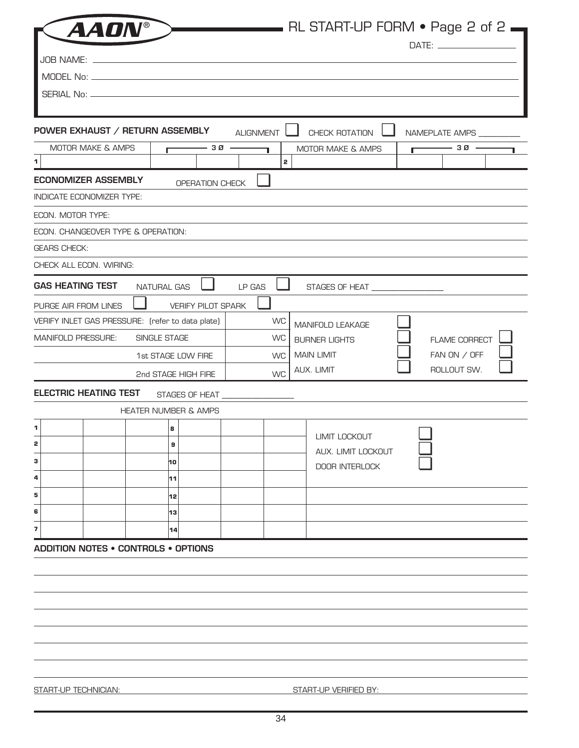|                                                  |                     |                                    |                  |           | RL START-UP FORM • Page 2 of 2. |   |                          |  |
|--------------------------------------------------|---------------------|------------------------------------|------------------|-----------|---------------------------------|---|--------------------------|--|
|                                                  |                     |                                    |                  |           |                                 |   |                          |  |
|                                                  |                     |                                    |                  |           |                                 |   |                          |  |
|                                                  |                     |                                    |                  |           |                                 |   |                          |  |
|                                                  |                     |                                    |                  |           |                                 |   |                          |  |
| POWER EXHAUST / RETURN ASSEMBLY                  |                     |                                    | <b>ALIGNMENT</b> |           | CHECK ROTATION                  |   | NAMEPLATE AMPS _________ |  |
| MOTOR MAKE & AMPS                                | г                   | - 30 -                             |                  |           | MOTOR MAKE & AMPS               | г | — зø -                   |  |
| $\mathbf 1$                                      |                     |                                    |                  | 2         |                                 |   |                          |  |
| <b>ECONOMIZER ASSEMBLY</b>                       |                     | OPERATION CHECK                    |                  |           |                                 |   |                          |  |
| INDICATE ECONOMIZER TYPE:                        |                     |                                    |                  |           |                                 |   |                          |  |
| ECON. MOTOR TYPE:                                |                     |                                    |                  |           |                                 |   |                          |  |
| ECON. CHANGEOVER TYPE & OPERATION:               |                     |                                    |                  |           |                                 |   |                          |  |
| <b>GEARS CHECK:</b><br>CHECK ALL ECON. WIRING:   |                     |                                    |                  |           |                                 |   |                          |  |
|                                                  |                     |                                    |                  |           |                                 |   |                          |  |
| <b>GAS HEATING TEST</b>                          | <b>NATURAL GAS</b>  |                                    | LP GAS           | ш         | STAGES OF HEAT _______________  |   |                          |  |
| PURGE AIR FROM LINES                             |                     | <b>VERIFY PILOT SPARK</b>          |                  |           |                                 |   |                          |  |
| VERIFY INLET GAS PRESSURE: (refer to data plate) |                     |                                    |                  | <b>WC</b> | MANIFOLD LEAKAGE                |   |                          |  |
| <b>MANIFOLD PRESSURE:</b>                        | <b>SINGLE STAGE</b> |                                    |                  | <b>WC</b> | <b>BURNER LIGHTS</b>            |   | <b>FLAME CORRECT</b>     |  |
|                                                  | 1st STAGE LOW FIRE  |                                    |                  | <b>WC</b> | <b>MAIN LIMIT</b>               |   | FAN ON / OFF             |  |
|                                                  |                     | 2nd STAGE HIGH FIRE                |                  | <b>WC</b> | AUX. LIMIT                      |   | ROLLOUT SW.              |  |
| <b>ELECTRIC HEATING TEST</b>                     |                     | STAGES OF HEAT ___________________ |                  |           |                                 |   |                          |  |
|                                                  |                     | <b>HEATER NUMBER &amp; AMPS</b>    |                  |           |                                 |   |                          |  |
| 1                                                |                     | 8                                  |                  |           | LIMIT LOCKOUT                   |   |                          |  |
| 2                                                |                     | 9                                  |                  |           | AUX. LIMIT LOCKOUT              |   |                          |  |
| з                                                |                     | 10                                 |                  |           | <b>DOOR INTERLOCK</b>           |   |                          |  |
| 4                                                |                     | 11                                 |                  |           |                                 |   |                          |  |
| 5                                                |                     | 12                                 |                  |           |                                 |   |                          |  |
| 6                                                |                     | 13                                 |                  |           |                                 |   |                          |  |
| 7                                                |                     | 14                                 |                  |           |                                 |   |                          |  |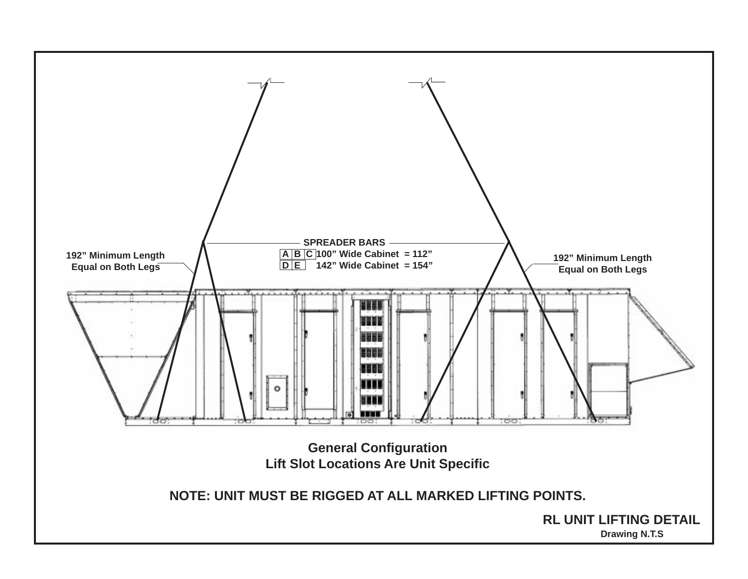